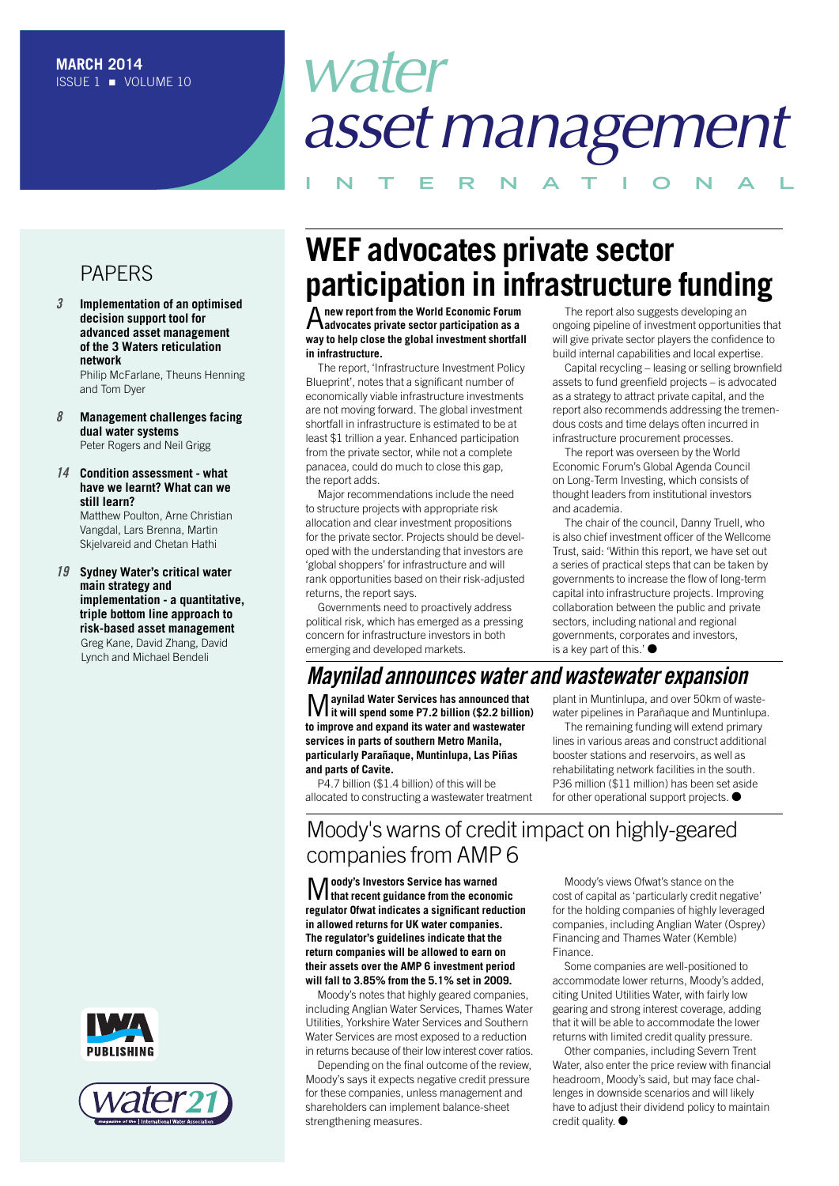# *water assetmanagement*

**I N T E R N A T I O N A L**

# PAPERS

*3* **Implementation of an optimised decision support tool for advanced asset management of the 3 Waters reticulation network**

Philip McFarlane, Theuns Henning and Tom Dyer

*8* **Management challenges facing dual water systems** Peter Rogers and Neil Grigg

### *14* **Condition assessment - what have we learnt? What can we still learn?**

Matthew Poulton, Arne Christian Vangdal, Lars Brenna, Martin Skjelvareid and Chetan Hathi

*19* **Sydney Water's critical water main strategy and implementation - a quantitative, triple bottom line approach to risk-based asset management** Greg Kane, David Zhang, David Lynch and Michael Bendeli





# **WEF advocates private sector participation in infrastructure funding**

A**new report from the World Economic Forum advocates private sector participation as a way to help close the global investment shortfall in infrastructure.**

The report, 'Infrastructure Investment Policy Blueprint', notes that a significant number of economically viable infrastructure investments are not moving forward. The global investment shortfall in infrastructure is estimated to be at least \$1 trillion a year. Enhanced participation from the private sector, while not a complete panacea, could do much to close this gap, the report adds.

Major recommendations include the need to structure projects with appropriate risk allocation and clear investment propositions for the private sector. Projects should be developed with the understanding that investors are 'global shoppers' for infrastructure and will rank opportunities based on their risk-adjusted returns, the report says.

Governments need to proactively address political risk, which has emerged as a pressing concern for infrastructure investors in both emerging and developed markets.

The report also suggests developing an ongoing pipeline of investment opportunities that will give private sector players the confidence to build internal capabilities and local expertise.

Capital recycling – leasing or selling brownfield assets to fund greenfield projects – is advocated as a strategy to attract private capital, and the report also recommends addressing the tremendous costs and time delays often incurred in infrastructure procurement processes.

The report was overseen by the World Economic Forum's Global Agenda Council on Long-Term Investing, which consists of thought leaders from institutional investors and academia.

The chair of the council, Danny Truell, who is also chief investment officer of the Wellcome Trust, said: 'Within this report, we have set out a series of practical steps that can be taken by governments to increase the flow of long-term capital into infrastructure projects. Improving collaboration between the public and private sectors, including national and regional governments, corporates and investors, is a key part of this.' $\bullet$ 

# *Maynilad announces water and wastewater expansion*

M**aynilad Water Services has announced that it will spend some P7.2 billion (\$2.2 billion) to improve and expand its water and wastewater services in parts of southern Metro Manila, particularly Parañaque, Muntinlupa, Las Piñas and parts of Cavite.**

P4.7 billion (\$1.4 billion) of this will be allocated to constructing a wastewater treatment plant in Muntinlupa, and over 50km of wastewater pipelines in Parañaque and Muntinlupa.

The remaining funding will extend primary lines in various areas and construct additional booster stations and reservoirs, as well as rehabilitating network facilities in the south. P36 million (\$11 million) has been set aside for other operational support projects.  $\bullet$ 

# Moody's warns of credit impact on highly-geared companies from AMP 6

M**oody's Investors Service has warned that recent guidance from the economic regulator Ofwat indicates a significant reduction in allowed returns for UK water companies. The regulator's guidelines indicate that the return companies will be allowed to earn on their assets over the AMP 6 investment period will fall to 3.85% from the 5.1% set in 2009.**

Moody's notes that highly geared companies, including Anglian Water Services, Thames Water Utilities, Yorkshire Water Services and Southern Water Services are most exposed to a reduction in returns because of their low interest cover ratios.

Depending on the final outcome of the review, Moody's says it expects negative credit pressure for these companies, unless management and shareholders can implement balance-sheet strengthening measures.

Moody's views Ofwat's stance on the cost of capital as 'particularly credit negative' for the holding companies of highly leveraged companies, including Anglian Water (Osprey) Financing and Thames Water (Kemble) Finance.

Some companies are well-positioned to accommodate lower returns, Moody's added, citing United Utilities Water, with fairly low gearing and strong interest coverage, adding that it will be able to accommodate the lower returns with limited credit quality pressure.

Other companies, including Severn Trent Water, also enter the price review with financial headroom, Moody's said, but may face challenges in downside scenarios and will likely have to adjust their dividend policy to maintain credit quality.  $\bullet$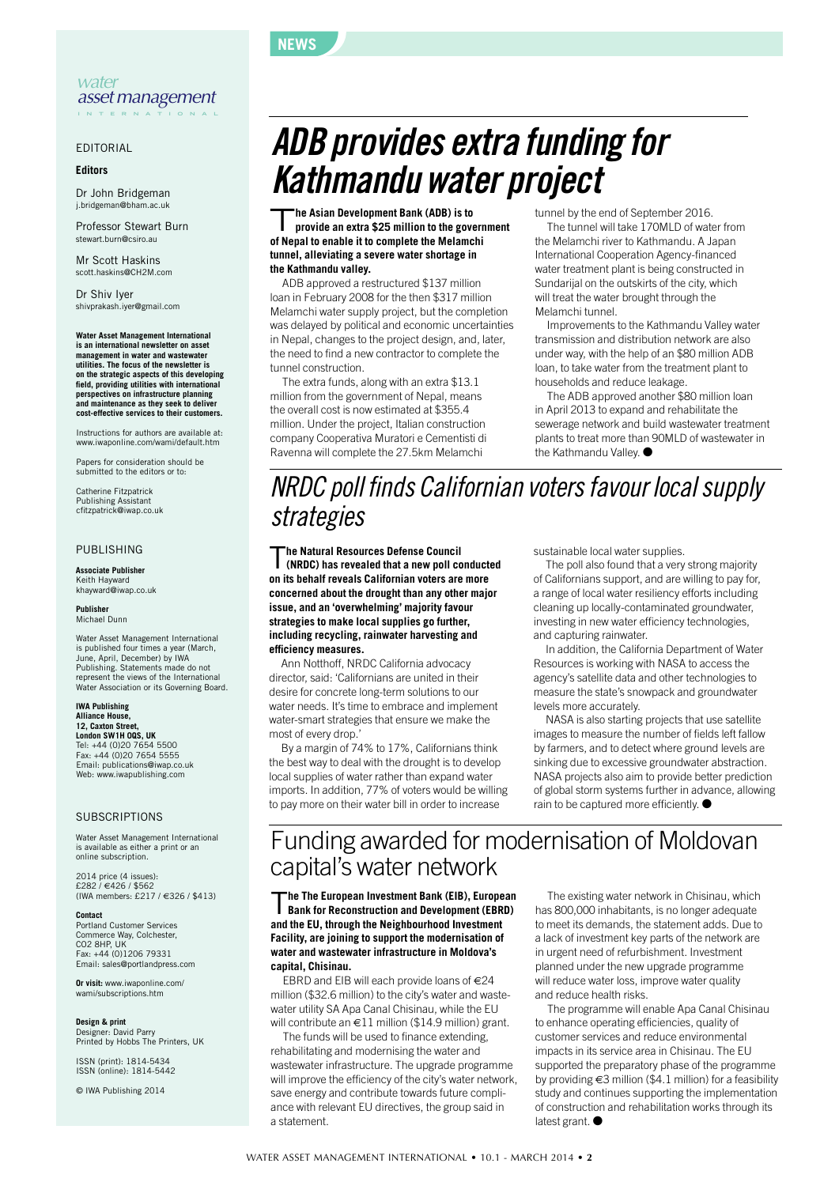#### *water assetmanagement* **I N T E R N A T I O N A L**

EDITORIAL

**Editors**

Dr John Bridgeman j.bridgeman@bha

Professor Stewart Burn stewart.burn@csiro.au

Mr Scott Haskins scott.haskins@CH2M.com

Dr Shiv Iyer shivprakash.iyer@gmail.com

### **Water Asset Management International is an international newsletter on asset management in water and wastewater utilities. The focus of the newsletter is** on the strategic aspects of this developing<br>field, providing utilities with international<br>perspectives on infrastructure planning<br>and maintenance as they seek to deliver **cost-effective services to their customers.**

Instructions for authors are available at: www.iwaponline.com/wami/default.htm

Papers for consideration should be submitted to the editors or to:

Catherine Fitzpatrick Publishing Assistant cfitzpatrick@iwap.co.uk

#### PUBLISHING

**Associate Publisher** Keith Hayward khayward@iwap.co.uk

**Publisher** Michael Dunn

Water Asset Management International is published four times a year (March, June, April, December) by IWA Publishing. Statements made do not represent the views of the International Water Association or its Governing Board.

## **IWA Publishing Alliance House, 12, Caxton Street,**

**London SW1H 0QS, UK** Tel: +44 (0)20 7654 5500 Fax: +44 (0)20 7654 5555 Email: publications@iwap.co.uk Web: www.iwapublishing.com

#### SUBSCRIPTIONS

Water Asset Management International is available as either a print or an online subscription.

2014 price (4 issues): £282 / €426 / \$562 (IWA members: £217 / €326 / \$413)

#### **Contact**

Portland Customer Services Commerce Way, Colchester, CO2 8HP, UK Fax: +44 (0)1206 79331 Email: sales@portlandpress.com

**Or visit:** www.iwaponline.com/ wami/subscriptions.htm

# **Design & print** Designer: David Parry

Printed by Hobbs The Printers, UK

ISSN (print): 1814-5434 ISSN (online): 1814-5442

© IWA Publishing 2014

# *ADB provides extra funding for Kathmandu water project*

T**he Asian Development Bank (ADB) is to provide an extra \$25 million to the government of Nepal to enable it to complete the Melamchi tunnel, alleviating a severe water shortage in the Kathmandu valley.**

**NEWS**

ADB approved a restructured \$137 million loan in February 2008 for the then \$317 million Melamchi water supply project, but the completion was delayed by political and economic uncertainties in Nepal, changes to the project design, and, later, the need to find a new contractor to complete the tunnel construction.

The extra funds, along with an extra \$13.1 million from the government of Nepal, means the overall cost is now estimated at \$355.4 million. Under the project, Italian construction company Cooperativa Muratori e Cementisti di Ravenna will complete the 27.5km Melamchi

tunnel by the end of September 2016.

The tunnel will take 170MLD of water from the Melamchi river to Kathmandu. A Japan International Cooperation Agency-financed water treatment plant is being constructed in Sundarijal on the outskirts of the city, which will treat the water brought through the Melamchi tunnel.

Improvements to the Kathmandu Valley water transmission and distribution network are also under way, with the help of an \$80 million ADB loan, to take water from the treatment plant to households and reduce leakage.

The ADB approved another \$80 million loan in April 2013 to expand and rehabilitate the sewerage network and build wastewater treatment plants to treat more than 90MLD of wastewater in the Kathmandu Valley. ●

# *NRDC poll finds Californian votersfavour localsupply strategies*

T**he Natural Resources Defense Council (NRDC) has revealed that a new poll conducted on its behalf reveals Californian voters are more concerned about the drought than any other major issue, and an 'overwhelming' majority favour strategies to make local supplies go further, including recycling, rainwater harvesting and efficiency measures.**

Ann Notthoff, NRDC California advocacy director, said: 'Californians are united in their desire for concrete long-term solutions to our water needs. It's time to embrace and implement water-smart strategies that ensure we make the most of every drop.

By a margin of 74% to 17%, Californians think the best way to deal with the drought is to develop local supplies of water rather than expand water imports. In addition, 77% of voters would be willing to pay more on their water bill in order to increase

sustainable local water supplies.

The poll also found that a very strong majority of Californians support, and are willing to pay for, a range of local water resiliency efforts including cleaning up locally-contaminated groundwater, investing in new water efficiency technologies, and capturing rainwater.

In addition, the California Department of Water Resources is working with NASA to access the agency's satellite data and other technologies to measure the state's snowpack and groundwater levels more accurately.

NASA is also starting projects that use satellite images to measure the number of fields left fallow by farmers, and to detect where ground levels are sinking due to excessive groundwater abstraction. NASA projects also aim to provide better prediction of global storm systems further in advance, allowing rain to be captured more efficiently. ●

# Funding awarded for modernisation of Moldovan capital's water network

T**he The European Investment Bank (EIB), European Bank for Reconstruction and Development (EBRD) and the EU, through the Neighbourhood Investment Facility, are joining to support the modernisation of water and wastewater infrastructure in Moldova's capital, Chisinau.**

EBRD and EIB will each provide loans of  $\in 24$ million (\$32.6 million) to the city's water and wastewater utility SA Apa Canal Chisinau, while the EU will contribute an €11 million (\$14.9 million) grant.

The funds will be used to finance extending, rehabilitating and modernising the water and wastewater infrastructure. The upgrade programme will improve the efficiency of the city's water network, save energy and contribute towards future compliance with relevant EU directives, the group said in a statement.

The existing water network in Chisinau, which has 800,000 inhabitants, is no longer adequate to meet its demands, the statement adds. Due to a lack of investment key parts of the network are in urgent need of refurbishment. Investment planned under the new upgrade programme will reduce water loss, improve water quality and reduce health risks.

The programme will enable Apa Canal Chisinau to enhance operating efficiencies, quality of customer services and reduce environmental impacts in its service area in Chisinau. The EU supported the preparatory phase of the programme by providing €3 million (\$4.1 million) for a feasibility study and continues supporting the implementation of construction and rehabilitation works through its latest grant. ●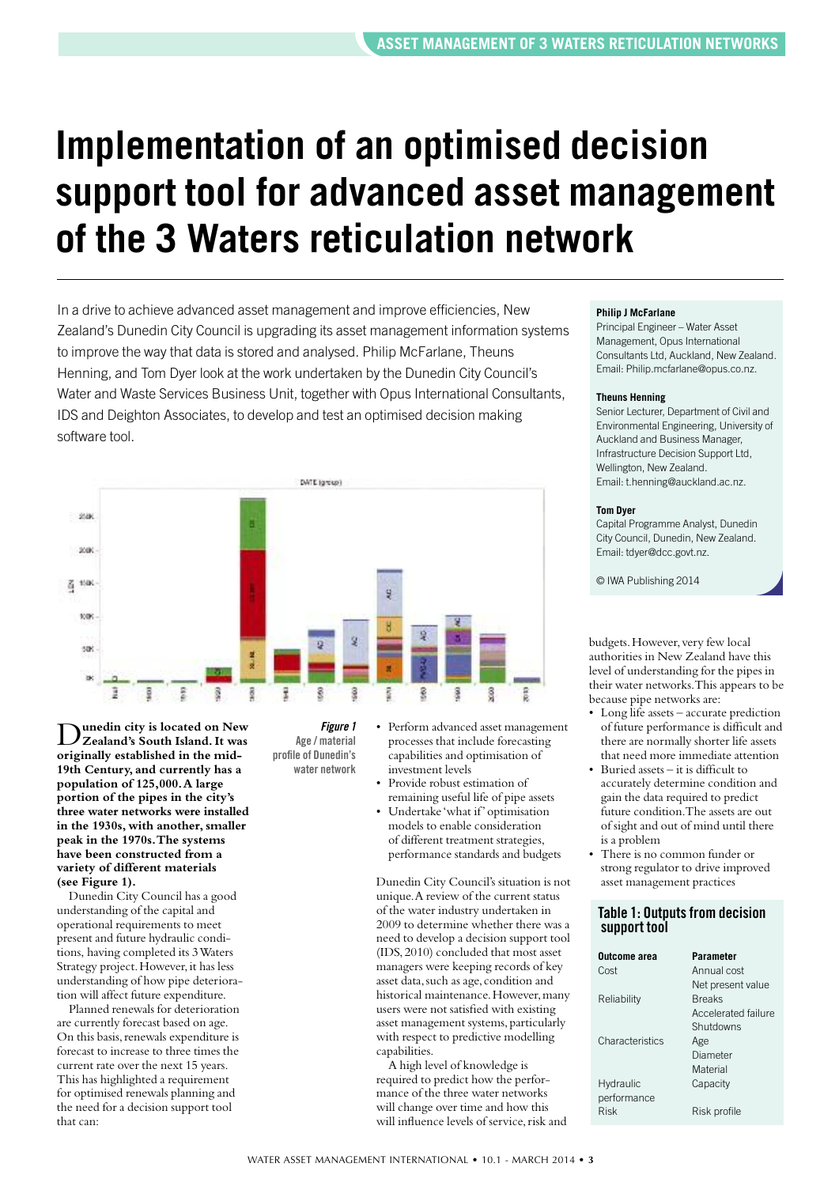# **Implementation of an optimised decision support tool for advanced asset management of the 3 Waters reticulation network**

In a drive to achieve advanced asset management and improve efficiencies, New Zealand's Dunedin City Council is upgrading its asset management information systems to improve the way that data is stored and analysed. Philip McFarlane, Theuns Henning, and Tom Dyer look at the work undertaken by the Dunedin City Council's Water and Waste Services Business Unit, together with Opus International Consultants, IDS and Deighton Associates, to develop and test an optimised decision making software tool.



D**unedin city is located on New Zealand's South Island.It was originally established in the mid-19th Century, and currently has a population of 125,000.A large portion of the pipes in the city's three water networks were installed in the 1930s, with another,smaller peak in the 1970s.The systems have been constructed from a variety of different materials (see Figure 1).**

Dunedin City Council has a good understanding of the capital and operational requirements to meet present and future hydraulic conditions, having completed its 3Waters Strategy project. However, it has less understanding of how pipe deterioration will affect future expenditure.

Planned renewals for deterioration are currently forecast based on age. On this basis, renewals expenditure is forecast to increase to three times the current rate over the next 15 years. This has highlighted a requirement for optimised renewals planning and the need for a decision support tool that can:

*Figure 1* **Age / material profile of Dunedin's water network**

- Perform advanced asset management processes that include forecasting capabilities and optimisation of investment levels
- Provide robust estimation of remaining useful life of pipe assets
- Undertake 'what if' optimisation models to enable consideration of different treatment strategies, performance standards and budgets

Dunedin City Council's situation is not unique.A review of the current status of the water industry undertaken in 2009 to determine whether there was a need to develop a decision support tool (IDS,2010) concluded that most asset managers were keeping records of key asset data,such as age, condition and historical maintenance. However, many users were not satisfied with existing asset management systems, particularly with respect to predictive modelling capabilities.

A high level of knowledge is required to predict how the performance of the three water networks will change over time and how this will influence levels of service, risk and

#### **Philip J McFarlane**

Principal Engineer – Water Asset Management, Opus International Consultants Ltd, Auckland, New Zealand. Email: Philip.mcfarlane@opus.co.nz.

#### **Theuns Henning**

Senior Lecturer, Department of Civil and Environmental Engineering, University of Auckland and Business Manager, Infrastructure Decision Support Ltd, Wellington, New Zealand. Email: t.henning@auckland.ac.nz.

#### **Tom Dyer**

Capital Programme Analyst, Dunedin City Council, Dunedin, New Zealand. Email: tdyer@dcc.govt.nz.

© IWA Publishing 2014

budgets.However, very few local authorities in New Zealand have this level of understanding for the pipes in their water networks.This appears to be because pipe networks are:

- Long life assets accurate prediction of future performance is difficult and there are normally shorter life assets that need more immediate attention
- Buried assets it is difficult to accurately determine condition and gain the data required to predict future condition.The assets are out of sight and out of mind until there is a problem
- There is no common funder or strong regulator to drive improved asset management practices

## **Table 1: Outputsfrom decision support tool**

| Outcome area    | <b>Parameter</b>    |
|-----------------|---------------------|
| Cost            | Annual cost         |
|                 | Net present value   |
| Reliability     | <b>Breaks</b>       |
|                 | Accelerated failure |
|                 | Shutdowns           |
| Characteristics | Age                 |
|                 | Diameter            |
|                 | Material            |
| Hydraulic       | Capacity            |
| performance     |                     |
| Risk            | Risk profile        |
|                 |                     |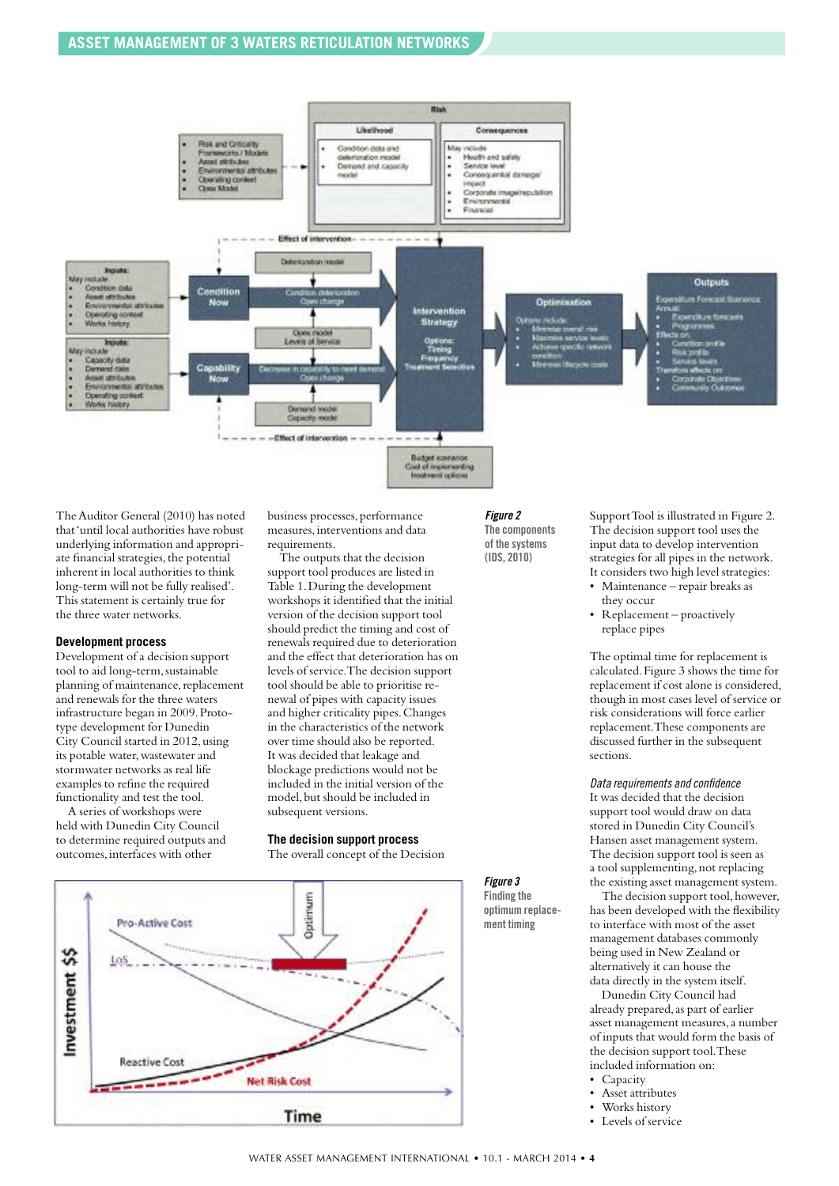# **ASSET MANAGEMENT OF 3 WATERS RETICULATION NETWORKS**



The Auditor General (2010) has noted that'until local authorities have robust underlying information and appropriate financial strategies, the potential inherent in local authorities to think long-term will not be fully realised'. This statement is certainly true for the three water networks.

#### **Development process**

Development of a decision support tool to aid long-term, sustainable planning of maintenance, replacement and renewals for the three waters infrastructure began in 2009.Prototype development for Dunedin City Council started in 2012, using its potable water,wastewater and stormwater networks as real life examples to refine the required functionality and test the tool.

A series of workshops were held with Dunedin City Council to determine required outputs and outcomes,interfaces with other

business processes, performance measures,interventions and data requirements.

The outputs that the decision support tool produces are listed in Table 1.During the development workshops it identified that the initial version of the decision support tool should predict the timing and cost of renewals required due to deterioration and the effect that deterioration has on levels of service.The decision support tool should be able to prioritise renewal of pipes with capacity issues and higher criticality pipes.Changes in the characteristics of the network over time should also be reported. It was decided that leakage and blockage predictions would not be included in the initial version of the model,but should be included in subsequent versions.

### **The decision support process**

The overall concept of the Decision



#### *Figure 2* **The components of the systems (IDS, 2010)**

Support Tool is illustrated in Figure 2. The decision support tool uses the input data to develop intervention strategies for all pipes in the network. It considers two high level strategies:

- Maintenance repair breaks as they occur
- Replacement proactively replace pipes

The optimal time for replacement is calculated.Figure 3 shows the time for replacement if cost alone is considered, though in most cases level of service or risk considerations will force earlier replacement.These components are discussed further in the subsequent sections.

#### *Data requirements and confidence*

It was decided that the decision support tool would draw on data stored in Dunedin City Council's Hansen asset management system. The decision support tool is seen as a tool supplementing,not replacing the existing asset management system.

The decision support tool, however, has been developed with the flexibility to interface with most of the asset management databases commonly being used in New Zealand or alternatively it can house the data directly in the system itself.

Dunedin City Council had already prepared, as part of earlier asset management measures,a number of inputs that would form the basis of the decision support tool.These included information on:

- Capacity
- Asset attributes
- Works history
- Levels of service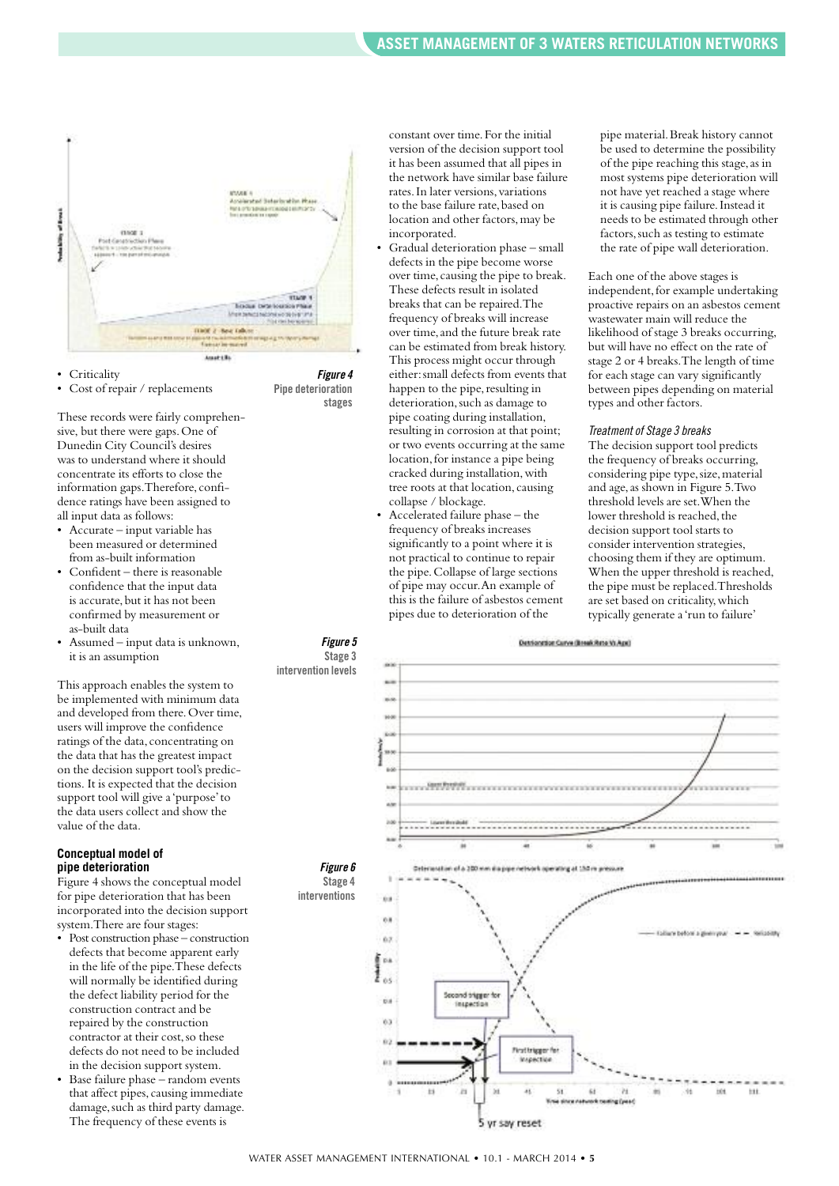

• Criticality

Cost of repair / replacements

These records were fairly comprehensive, but there were gaps.One of Dunedin City Council's desires was to understand where it should concentrate its efforts to close the information gaps.Therefore, confidence ratings have been assigned to all input data as follows:

- Accurate input variable has been measured or determined from as-built information
- Confident there is reasonable confidence that the input data is accurate, but it has not been confirmed by measurement or as-built data
- Assumed input data is unknown, it is an assumption

This approach enables the system to be implemented with minimum data and developed from there. Over time, users will improve the confidence ratings of the data, concentrating on the data that has the greatest impact on the decision support tool's predictions. It is expected that the decision support tool will give a'purpose'to the data users collect and show the value of the data.

#### **Conceptual model of pipe deterioration**

Figure 4 shows the conceptual model for pipe deterioration that has been incorporated into the decision support system.There are four stages:

- Post construction phase construction defects that become apparent early in the life of the pipe.These defects will normally be identified during the defect liability period for the construction contract and be repaired by the construction contractor at their cost,so these defects do not need to be included in the decision support system.
- Base failure phase random events that affect pipes, causing immediate damage, such as third party damage. The frequency of these events is

constant over time.For the initial version of the decision support tool it has been assumed that all pipes in the network have similar base failure rates.In later versions, variations to the base failure rate,based on location and other factors,may be incorporated.

• Gradual deterioration phase – small defects in the pipe become worse over time, causing the pipe to break. These defects result in isolated breaks that can be repaired.The frequency of breaks will increase over time, and the future break rate can be estimated from break history. This process might occur through either:small defects from events that happen to the pipe, resulting in deterioration, such as damage to pipe coating during installation, resulting in corrosion at that point; or two events occurring at the same location, for instance a pipe being cracked during installation, with tree roots at that location, causing collapse / blockage.

*Figure 4* **Pipe deterioration**

**stages**

• Accelerated failure phase – the frequency of breaks increases significantly to a point where it is not practical to continue to repair the pipe.Collapse of large sections of pipe may occur.An example of this is the failure of asbestos cement pipes due to deterioration of the

pipe material.Break history cannot be used to determine the possibility of the pipe reaching this stage,as in most systems pipe deterioration will not have yet reached a stage where it is causing pipe failure.Instead it needs to be estimated through other factors,such as testing to estimate the rate of pipe wall deterioration.

Each one of the above stages is independent, for example undertaking proactive repairs on an asbestos cement wastewater main will reduce the likelihood of stage 3 breaks occurring, but will have no effect on the rate of stage 2 or 4 breaks.The length of time for each stage can vary significantly between pipes depending on material types and other factors.

#### *Treatmentof Stage 3 breaks*

The decision support tool predicts the frequency of breaks occurring, considering pipe type,size,material and age,as shown in Figure 5.Two threshold levels are set.When the lower threshold is reached, the decision support tool starts to consider intervention strategies, choosing them if they are optimum. When the upper threshold is reached, the pipe must be replaced.Thresholds are set based on criticality, which typically generate a'run to failure'

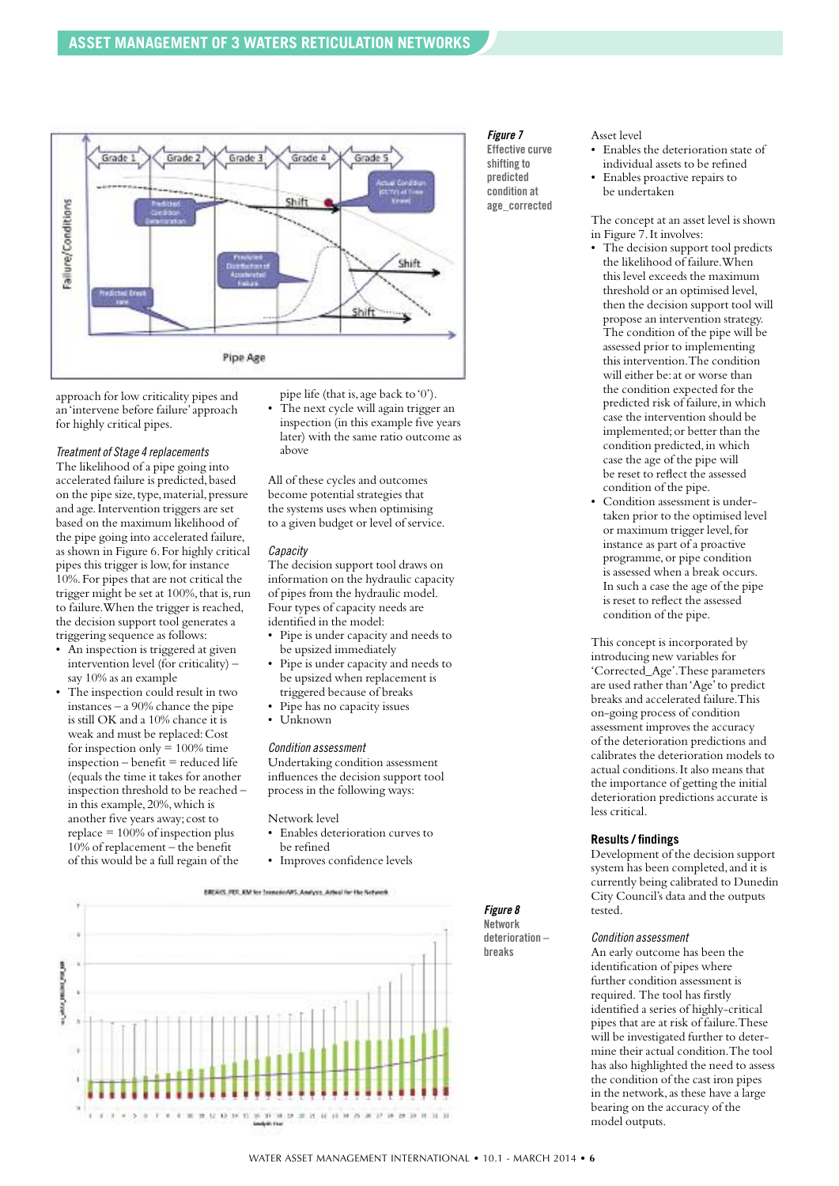

approach for low criticality pipes and an'intervene before failure'approach for highly critical pipes.

*Treatmentof Stage 4 replacements*

The likelihood of a pipe going into accelerated failure is predicted, based on the pipe size, type, material, pressure and age.Intervention triggers are set based on the maximum likelihood of the pipe going into accelerated failure, as shown in Figure 6.For highly critical pipes this trigger is low,for instance 10%.For pipes that are not critical the trigger might be set at 100%, that is, run to failure.When the trigger is reached, the decision support tool generates a triggering sequence as follows:

- An inspection is triggered at given intervention level (for criticality) – say 10% as an example
- The inspection could result in two instances – a 90% chance the pipe is still OK and a 10% chance it is weak and must be replaced:Cost for inspection only  $= 100\%$  time  $in$ spection – benefit = reduced life (equals the time it takes for another inspection threshold to be reached – in this example,20%,which is another five years away; cost to replace  $= 100\%$  of inspection plus 10% of replacement – the benefit of this would be a full regain of the

pipe life (that is,age back to'0'). The next cycle will again trigger an inspection (in this example five years later) with the same ratio outcome as above

All of these cycles and outcomes become potential strategies that the systems uses when optimising to a given budget or level of service.

#### *Capacity*

The decision support tool draws on information on the hydraulic capacity of pipes from the hydraulic model. Four types of capacity needs are identified in the model:

- Pipe is under capacity and needs to be upsized immediately
- Pipe is under capacity and needs to be upsized when replacement is triggered because of breaks
- Pipe has no capacity issues
- Unknown

#### *Condition assessment*

Undertaking condition assessment influences the decision support tool process in the following ways:

Network level

- Enables deterioration curves to be refined
- Improves confidence levels





#### *Figure 7*

**Effective curve shifting to predicted condition at age\_corrected**

#### Asset level

- Enables the deterioration state of individual assets to be refined
- Enables proactive repairs to be undertaken

The concept at an asset level is shown in Figure 7.It involves:

- The decision support tool predicts the likelihood of failure.When this level exceeds the maximum threshold or an optimised level, then the decision support tool will propose an intervention strategy. The condition of the pipe will be assessed prior to implementing this intervention.The condition will either be:at or worse than the condition expected for the predicted risk of failure, in which case the intervention should be implemented;or better than the condition predicted,in which case the age of the pipe will be reset to reflect the assessed condition of the pipe.
- Condition assessment is undertaken prior to the optimised level or maximum trigger level, for instance as part of a proactive programme, or pipe condition is assessed when a break occurs. In such a case the age of the pipe is reset to reflect the assessed condition of the pipe.

This concept is incorporated by introducing new variables for 'Corrected\_Age'.These parameters are used rather than'Age'to predict breaks and accelerated failure.This on-going process of condition assessment improves the accuracy of the deterioration predictions and calibrates the deterioration models to actual conditions.It also means that the importance of getting the initial deterioration predictions accurate is less critical.

# **Results / findings**

Development of the decision support system has been completed,and it is currently being calibrated to Dunedin City Council's data and the outputs tested.

#### *Condition assessment*

An early outcome has been the identification of pipes where further condition assessment is required. The tool has firstly identified a series of highly-critical pipes that are at risk of failure.These will be investigated further to determine their actual condition.The tool has also highlighted the need to assess the condition of the cast iron pipes in the network, as these have a large bearing on the accuracy of the model outputs.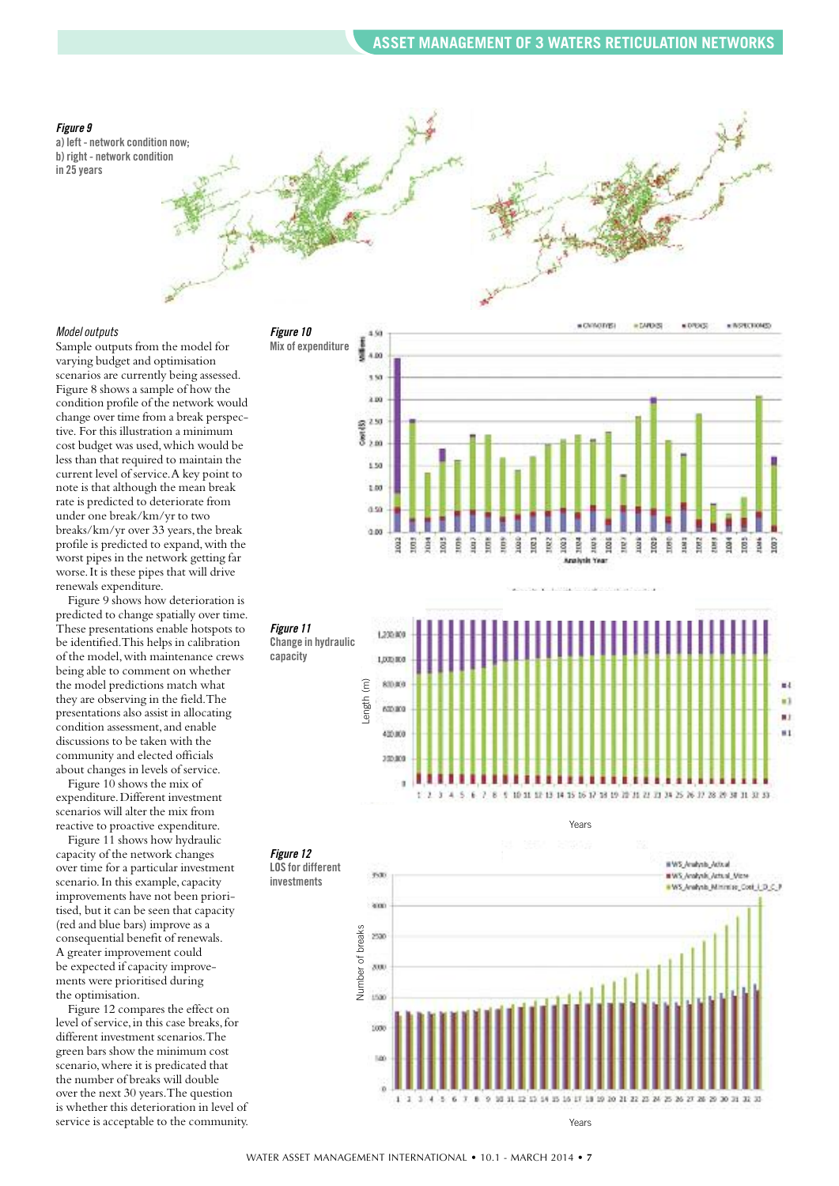#### *Figure 9*

**a) left - network condition now; b) right - network condition in 25 years**



#### *Model outputs*

Sample outputs from the model for varying budget and optimisation scenarios are currently being assessed. Figure 8 shows a sample of how the condition profile of the network would change over time from a break perspective. For this illustration a minimum cost budget was used,which would be less than that required to maintain the current level of service.A key point to note is that although the mean break rate is predicted to deteriorate from under one break/km/yr to two breaks/km/yr over 33 years, the break profile is predicted to expand,with the worst pipes in the network getting far worse.It is these pipes that will drive renewals expenditure.

*Figure 10*

*Figure 11*

**capacity**

*Figure 12*

**investments**

Figure 9 shows how deterioration is predicted to change spatially over time. These presentations enable hotspots to be identified.This helps in calibration of the model,with maintenance crews being able to comment on whether the model predictions match what they are observing in the field.The presentations also assist in allocating condition assessment,and enable discussions to be taken with the community and elected officials about changes in levels of service.

Figure 10 shows the mix of expenditure.Different investment scenarios will alter the mix from reactive to proactive expenditure.

Figure 11 shows how hydraulic capacity of the network changes over time for a particular investment scenario.In this example, capacity improvements have not been prioritised, but it can be seen that capacity (red and blue bars) improve as a consequential benefit of renewals. A greater improvement could be expected if capacity improvements were prioritised during the optimisation.

Figure 12 compares the effect on level of service, in this case breaks, for different investment scenarios.The green bars show the minimum cost scenario,where it is predicated that the number of breaks will double over the next 30 years.The question is whether this deterioration in level of service is acceptable to the community.





Years



Years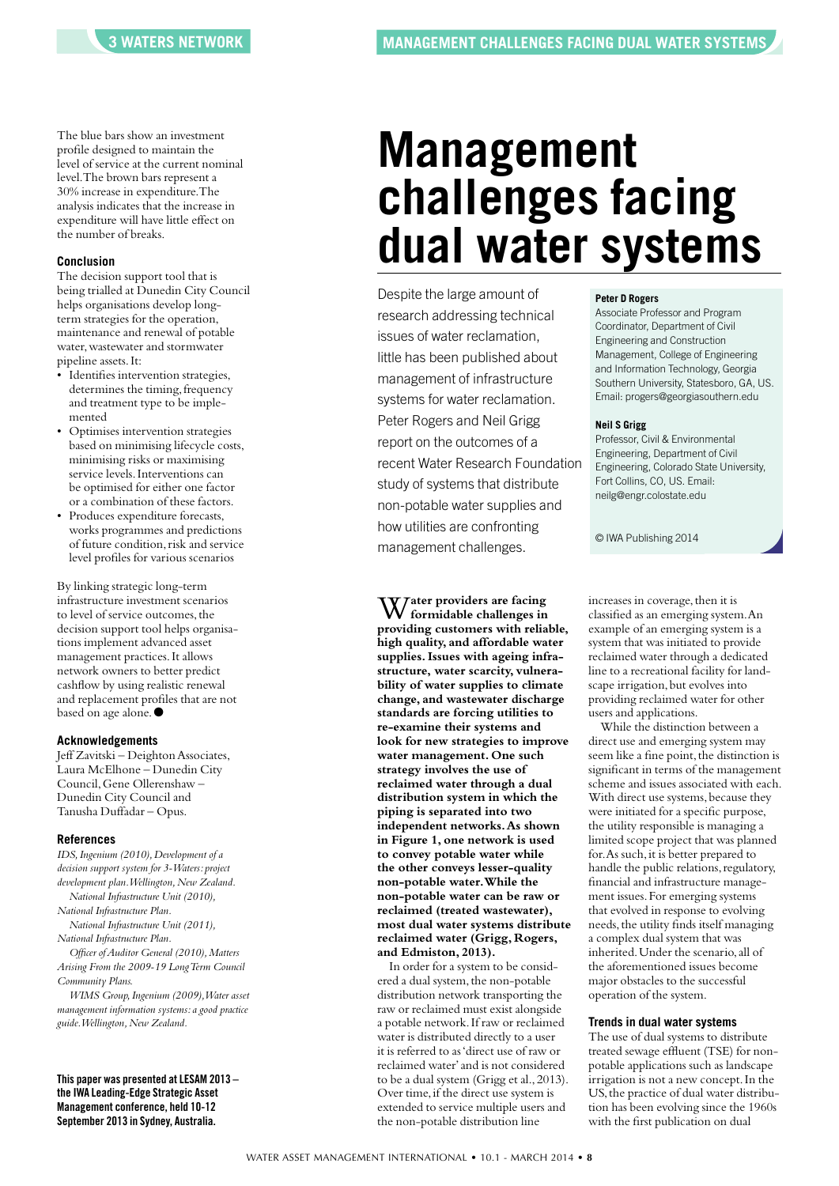The blue bars show an investment profile designed to maintain the level of service at the current nominal level.The brown bars represent a 30% increase in expenditure.The analysis indicates that the increase in expenditure will have little effect on the number of breaks.

#### **Conclusion**

The decision support tool that is being trialled at Dunedin City Council helps organisations develop longterm strategies for the operation, maintenance and renewal of potable water, wastewater and stormwater pipeline assets.It:

- Identifies intervention strategies, determines the timing, frequency and treatment type to be implemented
- Optimises intervention strategies based on minimising lifecycle costs, minimising risks or maximising service levels.Interventions can be optimised for either one factor or a combination of these factors.
- Produces expenditure forecasts, works programmes and predictions of future condition, risk and service level profiles for various scenarios

By linking strategic long-term infrastructure investment scenarios to level of service outcomes, the decision support tool helps organisations implement advanced asset management practices.It allows network owners to better predict cashflow by using realistic renewal and replacement profiles that are not based on age alone.<sup>●</sup>

#### **Acknowledgements**

Jeff Zavitski – Deighton Associates, Laura McElhone – Dunedin City Council,Gene Ollerenshaw – Dunedin City Council and Tanusha Duffadar – Opus.

#### **References**

*IDS,Ingenium (2010),Development of a decision support system for 3-Waters: project development plan.Wellington,New Zealand. National Infrastructure Unit (2010), National Infrastructure Plan. National Infrastructure Unit (2011), National Infrastructure Plan. Officer ofAuditor General (2010),Matters Arising From the 2009-19 LongTerm Council Community Plans.*

*WIMS Group,Ingenium (2009),Water asset management information systems: a good practice guide.Wellington,New Zealand.*

**This paper was presented atLESAM 2013 – the IWA Leading-Edge Strategic Asset Management conference, held 10-12 September 2013 in Sydney, Australia.**

# **Management challenges facing dual water systems**

Despite the large amount of research addressing technical issues of water reclamation, little has been published about management of infrastructure systems for water reclamation. Peter Rogers and Neil Grigg report on the outcomes of a recent Water Research Foundation study of systems that distribute non-potable water supplies and how utilities are confronting management challenges.

W**ater providers are facing formidable challenges in providing customers with reliable, high quality, and affordable water supplies.Issues with ageing infrastructure, water scarcity, vulnerability of water supplies to climate change, and wastewater discharge standards are forcing utilities to re-examine their systems and look for new strategies to improve water management. One such strategy involves the use of reclaimed water through a dual distribution system in which the piping is separated into two independent networks.As shown in Figure 1, one network is used to convey potable water while the other conveys lesser-quality non-potable water.While the non-potable water can be raw or reclaimed (treated wastewater), most dual water systems distribute reclaimed water (Grigg, Rogers, and Edmiston, 2013).**

In order for a system to be considered a dual system, the non-potable distribution network transporting the raw or reclaimed must exist alongside a potable network.If raw or reclaimed water is distributed directly to a user it is referred to as'direct use of raw or reclaimed water'and is not considered to be a dual system (Grigg et al.,2013). Over time, if the direct use system is extended to service multiple users and the non-potable distribution line

#### **Peter D Rogers**

Associate Professor and Program Coordinator, Department of Civil Engineering and Construction Management, College of Engineering and Information Technology, Georgia Southern University, Statesboro, GA, US. Email: progers@georgiasouthern.edu

#### **Neil S Grigg**

Professor, Civil & Environmental Engineering, Department of Civil Engineering, Colorado State University, Fort Collins, CO, US. Email: neilg@engr.colostate.edu

© IWA Publishing 2014

increases in coverage, then it is classified as an emerging system.An example of an emerging system is a system that was initiated to provide reclaimed water through a dedicated line to a recreational facility for landscape irrigation, but evolves into providing reclaimed water for other users and applications.

While the distinction between a direct use and emerging system may seem like a fine point, the distinction is significant in terms of the management scheme and issues associated with each. With direct use systems, because they were initiated for a specific purpose, the utility responsible is managing a limited scope project that was planned for. As such, it is better prepared to handle the public relations, regulatory, financial and infrastructure management issues.For emerging systems that evolved in response to evolving needs, the utility finds itself managing a complex dual system that was inherited.Under the scenario,all of the aforementioned issues become major obstacles to the successful operation of the system.

### **Trends in dual water systems**

The use of dual systems to distribute treated sewage effluent (TSE) for nonpotable applications such as landscape irrigation is not a new concept.In the US, the practice of dual water distribution has been evolving since the 1960s with the first publication on dual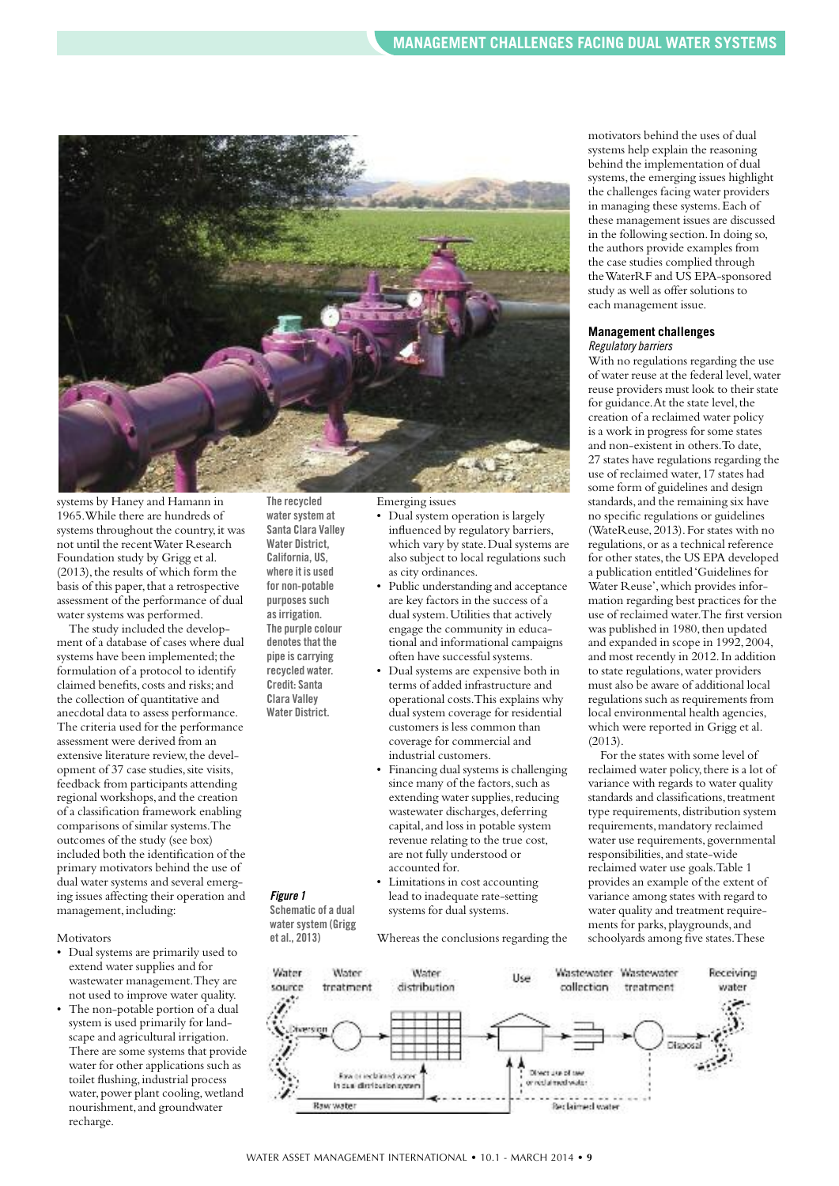

systems by Haney and Hamann in 1965.While there are hundreds of systems throughout the country, it was not until the recentWater Research Foundation study by Grigg et al.  $(2013)$ , the results of which form the basis of this paper, that a retrospective assessment of the performance of dual water systems was performed.

The study included the development of a database of cases where dual systems have been implemented; the formulation of a protocol to identify claimed benefits, costs and risks;and the collection of quantitative and anecdotal data to assess performance. The criteria used for the performance assessment were derived from an extensive literature review, the development of 37 case studies, site visits, feedback from participants attending regional workshops,and the creation of a classification framework enabling comparisons of similar systems.The outcomes of the study (see box) included both the identification of the primary motivators behind the use of dual water systems and several emerging issues affecting their operation and management, including:

Motivators

- Dual systems are primarily used to extend water supplies and for wastewater management.They are not used to improve water quality.
- The non-potable portion of a dual system is used primarily for landscape and agricultural irrigation. There are some systems that provide water for other applications such as toilet flushing, industrial process water, power plant cooling, wetland nourishment,and groundwater recharge.

**The recycled watersystem at Santa Clara Valley Water District, California, US, where it is used for non-potable purposes** such **asirrigation. The purple colour denotesthat the pipe is carrying recycled water.**

**Credit: Santa Clara Valley Water District.**

*Figure 1*

**Schematic of a dual watersystem (Grigg et al., 2013)**

Emerging issues

- Dual system operation is largely influenced by regulatory barriers, which vary by state.Dual systems are also subject to local regulations such as city ordinances.
- Public understanding and acceptance are key factors in the success of a dual system.Utilities that actively engage the community in educational and informational campaigns often have successful systems.
- Dual systems are expensive both in terms of added infrastructure and operational costs.This explains why dual system coverage for residential customers is less common than coverage for commercial and industrial customers.
- Financing dual systems is challenging since many of the factors, such as extending water supplies, reducing wastewater discharges, deferring capital,and loss in potable system revenue relating to the true cost, are not fully understood or accounted for.
	- Limitations in cost accounting lead to inadequate rate-setting systems for dual systems.

Whereas the conclusions regarding the

motivators behind the uses of dual systems help explain the reasoning behind the implementation of dual systems, the emerging issues highlight the challenges facing water providers in managing these systems.Each of these management issues are discussed in the following section.In doing so, the authors provide examples from the case studies complied through theWaterRF and US EPA-sponsored study as well as offer solutions to each management issue.

#### **Management challenges** *Regulatory barriers*

With no regulations regarding the use of water reuse at the federal level,water reuse providers must look to their state for guidance. At the state level, the creation of a reclaimed water policy is a work in progress for some states and non-existent in others.To date, 27 states have regulations regarding the use of reclaimed water,17 states had some form of guidelines and design standards, and the remaining six have no specific regulations or guidelines (WateReuse,2013).For states with no regulations,or as a technical reference for other states, the US EPA developed a publication entitled'Guidelines for Water Reuse',which provides information regarding best practices for the use of reclaimed water.The first version was published in 1980, then updated and expanded in scope in 1992,2004, and most recently in 2012.In addition to state regulations, water providers must also be aware of additional local regulations such as requirements from local environmental health agencies, which were reported in Grigg et al. (2013).

For the states with some level of reclaimed water policy, there is a lot of variance with regards to water quality standards and classifications, treatment type requirements,distribution system requirements,mandatory reclaimed water use requirements, governmental responsibilities,and state-wide reclaimed water use goals.Table 1 provides an example of the extent of variance among states with regard to water quality and treatment requirements for parks, playgrounds, and schoolyards among five states.These

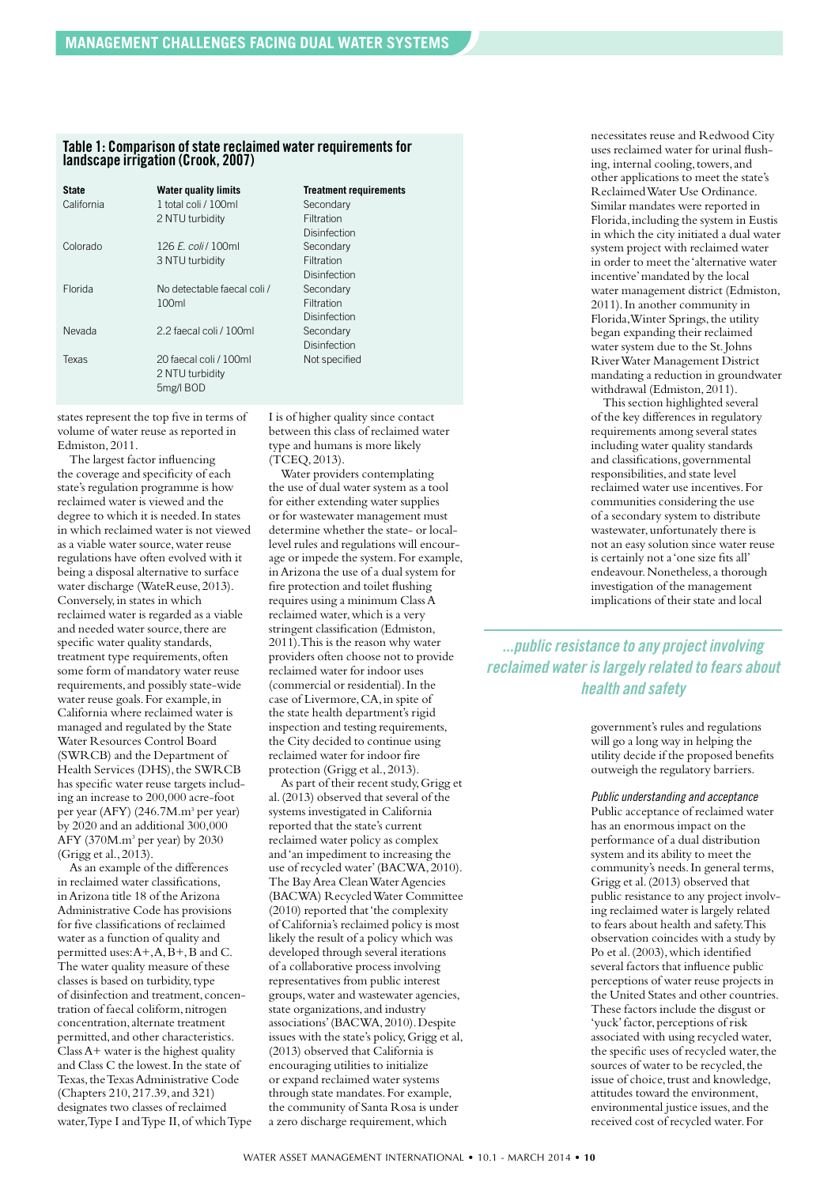### **Table 1: Comparison of state reclaimed water requirements for landscape irrigation (Crook, 2007)**

| <b>State</b><br>California | <b>Water quality limits</b><br>1 total coli / 100ml<br>2 NTU turbidity | <b>Treatment requirements</b><br>Secondary<br>Filtration |
|----------------------------|------------------------------------------------------------------------|----------------------------------------------------------|
| Colorado                   | 126 <i>E. coli</i> / 100ml<br>3 NTU turbidity                          | Disinfection<br>Secondary<br>Filtration                  |
| Florida                    | No defectable faecal coli /<br>100ml                                   | Disinfection<br>Secondary<br>Filtration<br>Disinfection  |
| Nevada                     | 2.2 faecal coli / 100ml                                                | Secondary<br>Disinfection                                |
| Texas                      | 20 faecal coli / 100ml<br>2 NTU turbidity<br>5mg/l BOD                 | Not specified                                            |

states represent the top five in terms of volume of water reuse as reported in Edmiston,2011.

The largest factor influencing the coverage and specificity of each state's regulation programme is how reclaimed water is viewed and the degree to which it is needed.In states in which reclaimed water is not viewed as a viable water source, water reuse regulations have often evolved with it being a disposal alternative to surface water discharge (WateReuse,2013). Conversely,in states in which reclaimed water is regarded as a viable and needed water source, there are specific water quality standards, treatment type requirements,often some form of mandatory water reuse requirements,and possibly state-wide water reuse goals. For example, in California where reclaimed water is managed and regulated by the State Water Resources Control Board (SWRCB) and the Department of Health Services (DHS), the SWRCB has specific water reuse targets including an increase to 200,000 acre-foot per year (AFY) (246.7M.m<sup>3</sup> per year) by 2020 and an additional 300,000 AFY (370M.m3 per year) by 2030 (Grigg et al.,2013).

As an example of the differences in reclaimed water classifications, inArizona title 18 of theArizona Administrative Code has provisions for five classifications of reclaimed water as a function of quality and permitted uses: $A^+, A, \overline{B}^+, \overline{B}$  and C. The water quality measure of these classes is based on turbidity, type of disinfection and treatment, concentration of faecal coliform, nitrogen concentration,alternate treatment permitted,and other characteristics.  $Class A+water is the highest quality$ and Class C the lowest.In the state of Texas, the Texas Administrative Code (Chapters 210,217.39,and 321) designates two classes of reclaimed water, Type I and Type II, of which Type I is of higher quality since contact between this class of reclaimed water type and humans is more likely (TCEQ,2013).

Water providers contemplating the use of dual water system as a tool for either extending water supplies or for wastewater management must determine whether the state- or locallevel rules and regulations will encourage or impede the system.For example, inArizona the use of a dual system for fire protection and toilet flushing requires using a minimum ClassA reclaimed water,which is a very stringent classification (Edmiston, 2011).This is the reason why water providers often choose not to provide reclaimed water for indoor uses (commercial or residential).In the case of Livermore,CA,in spite of the state health department's rigid inspection and testing requirements, the City decided to continue using reclaimed water for indoor fire protection (Grigg et al.,2013).

As part of their recent study,Grigg et al.(2013) observed that several of the systems investigated in California reported that the state's current reclaimed water policy as complex and'an impediment to increasing the use of recycled water'(BACWA,2010). The BayArea CleanWaterAgencies (BACWA) RecycledWater Committee (2010) reported that'the complexity of California's reclaimed policy is most likely the result of a policy which was developed through several iterations of a collaborative process involving representatives from public interest groups,water and wastewater agencies, state organizations, and industry associations'(BACWA,2010).Despite issues with the state's policy,Grigg et al, (2013) observed that California is encouraging utilities to initialize or expand reclaimed water systems through state mandates.For example, the community of Santa Rosa is under a zero discharge requirement,which

necessitates reuse and Redwood City uses reclaimed water for urinal flushing, internal cooling, towers, and other applications to meet the state's ReclaimedWater Use Ordinance. Similar mandates were reported in Florida,including the system in Eustis in which the city initiated a dual water system project with reclaimed water in order to meet the 'alternative water incentive'mandated by the local water management district (Edmiston, 2011).In another community in Florida, Winter Springs, the utility began expanding their reclaimed water system due to the St.Johns RiverWater Management District mandating a reduction in groundwater withdrawal (Edmiston,2011).

This section highlighted several of the key differences in regulatory requirements among several states including water quality standards and classifications, governmental responsibilities, and state level reclaimed water use incentives.For communities considering the use of a secondary system to distribute wastewater,unfortunately there is not an easy solution since water reuse is certainly not a'one size fits all' endeavour.Nonetheless,a thorough investigation of the management implications of their state and local

*...public resistance to any project involving reclaimed water islargelyrelated to fears about health and safety*

> government's rules and regulations will go a long way in helping the utility decide if the proposed benefits outweigh the regulatory barriers.

*Public understanding and acceptance* Public acceptance of reclaimed water has an enormous impact on the performance of a dual distribution system and its ability to meet the community's needs.In general terms, Grigg et al.(2013) observed that public resistance to any project involving reclaimed water is largely related to fears about health and safety.This observation coincides with a study by Po et al. (2003), which identified several factors that influence public perceptions of water reuse projects in the United States and other countries. These factors include the disgust or 'yuck' factor, perceptions of risk associated with using recycled water, the specific uses of recycled water, the sources of water to be recycled, the issue of choice, trust and knowledge, attitudes toward the environment, environmental justice issues,and the received cost of recycled water.For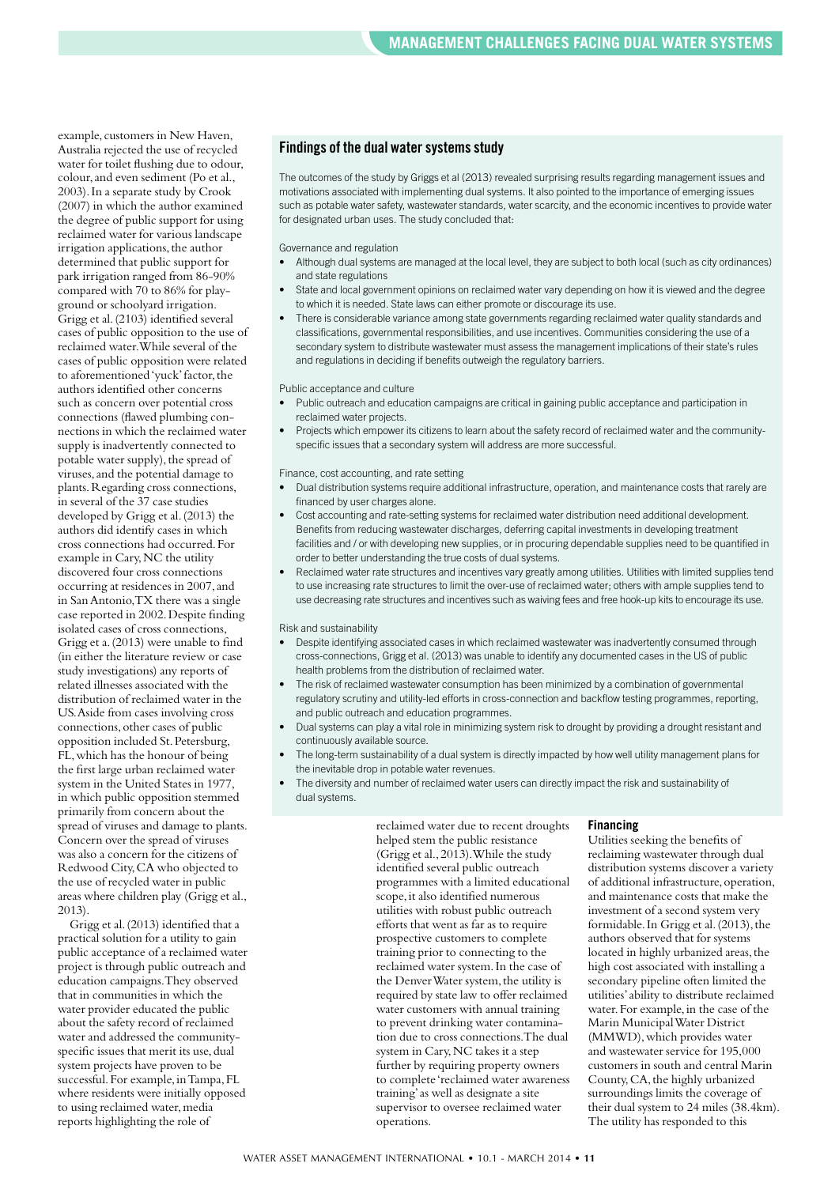example, customers in New Haven, Australia rejected the use of recycled water for toilet flushing due to odour, colour, and even sediment (Po et al., 2003).In a separate study by Crook (2007) in which the author examined the degree of public support for using reclaimed water for various landscape irrigation applications, the author determined that public support for park irrigation ranged from 86-90% compared with 70 to 86% for playground or schoolyard irrigation. Grigg et al.(2103) identified several cases of public opposition to the use of reclaimed water.While several of the cases of public opposition were related to aforementioned'yuck'factor,the authors identified other concerns such as concern over potential cross connections (flawed plumbing connections in which the reclaimed water supply is inadvertently connected to potable water supply), the spread of viruses,and the potential damage to plants.Regarding cross connections, in several of the 37 case studies developed by Grigg et al.(2013) the authors did identify cases in which cross connections had occurred.For example in Cary, NC the utility discovered four cross connections occurring at residences in 2007,and in SanAntonio,TX there was a single case reported in 2002.Despite finding isolated cases of cross connections, Grigg et a.(2013) were unable to find (in either the literature review or case study investigations) any reports of related illnesses associated with the distribution of reclaimed water in the US.Aside from cases involving cross connections,other cases of public opposition included St.Petersburg, FL,which has the honour of being the first large urban reclaimed water system in the United States in 1977, in which public opposition stemmed primarily from concern about the spread of viruses and damage to plants. Concern over the spread of viruses was also a concern for the citizens of Redwood City,CA who objected to the use of recycled water in public areas where children play (Grigg et al., 2013).

Grigg et al.(2013) identified that a practical solution for a utility to gain public acceptance of a reclaimed water project is through public outreach and education campaigns.They observed that in communities in which the water provider educated the public about the safety record of reclaimed water and addressed the communityspecific issues that merit its use,dual system projects have proven to be successful. For example, in Tampa, FL where residents were initially opposed to using reclaimed water, media reports highlighting the role of

## **Findings of the dual watersystemsstudy**

The outcomes of the study by Griggs et al (2013) revealed surprising results regarding management issues and motivations associated with implementing dual systems. It also pointed to the importance of emerging issues such as potable water safety, wastewater standards, water scarcity, and the economic incentives to provide water for designated urban uses. The study concluded that:

#### Governance and regulation

- Although dual systems are managed at the local level, they are subject to both local (such as city ordinances) and state regulations
- State and local government opinions on reclaimed water vary depending on how it is viewed and the degree to which it is needed. State laws can either promote or discourage its use.
- There is considerable variance among state governments regarding reclaimed water quality standards and classifications, governmental responsibilities, and use incentives. Communities considering the use of a secondary system to distribute wastewater must assess the management implications of their state's rules and regulations in deciding if benefits outweigh the regulatory barriers.

#### Public acceptance and culture

- Public outreach and education campaigns are critical in gaining public acceptance and participation in reclaimed water projects.
- Projects which empower its citizens to learn about the safety record of reclaimed water and the communityspecific issues that a secondary system will address are more successful.

#### Finance, cost accounting, and rate setting

- Dual distribution systems require additional infrastructure, operation, and maintenance costs that rarely are financed by user charges alone.
- Cost accounting and rate-setting systems for reclaimed water distribution need additional development. Benefits from reducing wastewater discharges, deferring capital investments in developing treatment facilities and / or with developing new supplies, or in procuring dependable supplies need to be quantified in order to better understanding the true costs of dual systems.
- Reclaimed water rate structures and incentives vary greatly among utilities. Utilities with limited supplies tend to use increasing rate structures to limit the over-use of reclaimed water; others with ample supplies tend to use decreasing rate structures and incentives such as waiving fees and free hook-up kits to encourage its use.

#### Risk and sustainability

- Despite identifying associated cases in which reclaimed wastewater was inadvertently consumed through cross-connections, Grigg et al. (2013) was unable to identify any documented cases in the US of public health problems from the distribution of reclaimed water.
- The risk of reclaimed wastewater consumption has been minimized by a combination of governmental regulatory scrutiny and utility-led efforts in cross-connection and backflow testing programmes, reporting, and public outreach and education programmes.
- Dual systems can play a vital role in minimizing system risk to drought by providing a drought resistant and continuously available source.
- The long-term sustainability of a dual system is directly impacted by how well utility management plans for the inevitable drop in potable water revenues.
- The diversity and number of reclaimed water users can directly impact the risk and sustainability of dual systems.

reclaimed water due to recent droughts helped stem the public resistance (Grigg et al.,2013).While the study identified several public outreach programmes with a limited educational scope,it also identified numerous utilities with robust public outreach efforts that went as far as to require prospective customers to complete training prior to connecting to the reclaimed water system.In the case of the DenverWater system, the utility is required by state law to offer reclaimed water customers with annual training to prevent drinking water contamination due to cross connections.The dual system in Cary,NC takes it a step further by requiring property owners to complete 'reclaimed water awareness training'as well as designate a site supervisor to oversee reclaimed water operations.

#### **Financing**

Utilities seeking the benefits of reclaiming wastewater through dual distribution systems discover a variety of additional infrastructure, operation, and maintenance costs that make the investment of a second system very formidable. In Grigg et al. (2013), the authors observed that for systems located in highly urbanized areas, the high cost associated with installing a secondary pipeline often limited the utilities'ability to distribute reclaimed water. For example, in the case of the Marin MunicipalWater District (MMWD),which provides water and wastewater service for 195,000 customers in south and central Marin County,CA,the highly urbanized surroundings limits the coverage of their dual system to 24 miles (38.4km). The utility has responded to this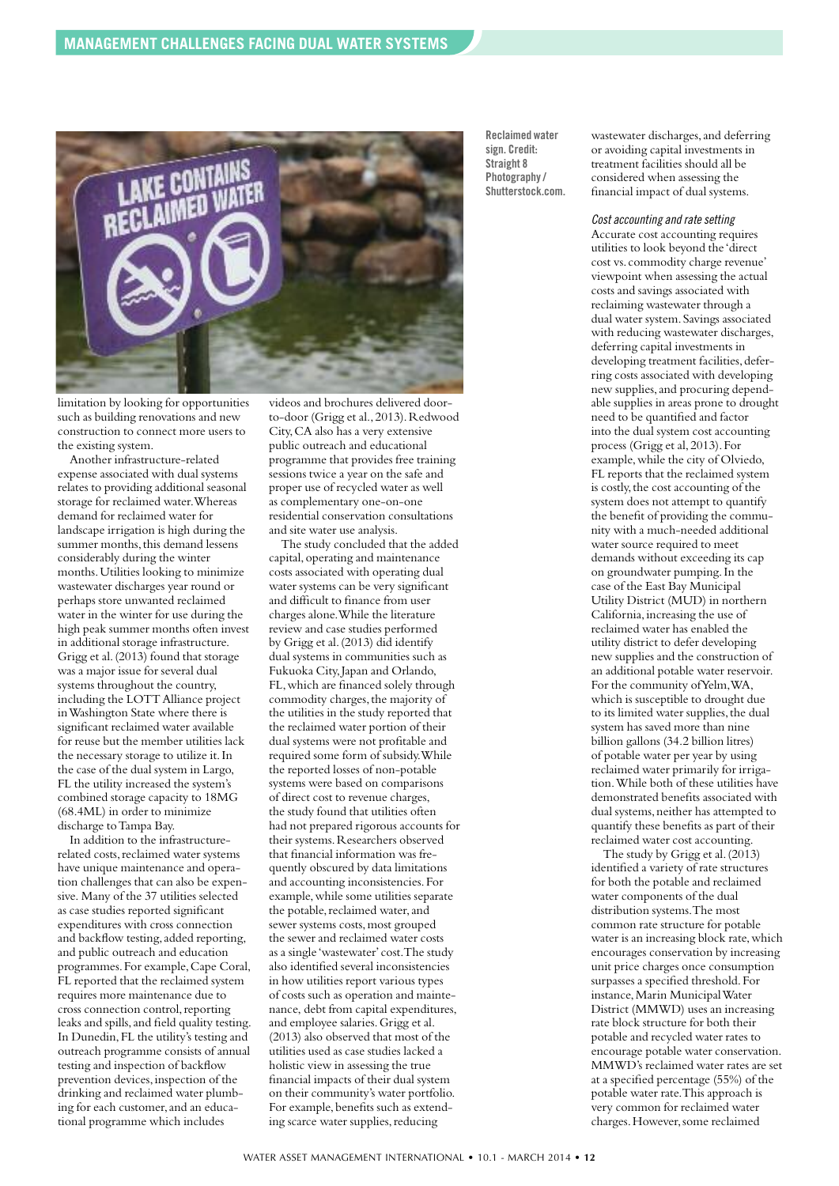

limitation by looking for opportunities such as building renovations and new construction to connect more users to the existing system.

Another infrastructure-related expense associated with dual systems relates to providing additional seasonal storage for reclaimed water.Whereas demand for reclaimed water for landscape irrigation is high during the summer months, this demand lessens considerably during the winter months.Utilities looking to minimize wastewater discharges year round or perhaps store unwanted reclaimed water in the winter for use during the high peak summer months often invest in additional storage infrastructure. Grigg et al.(2013) found that storage was a major issue for several dual systems throughout the country, including the LOTTAlliance project inWashington State where there is significant reclaimed water available for reuse but the member utilities lack the necessary storage to utilize it.In the case of the dual system in Largo, FL the utility increased the system's combined storage capacity to 18MG (68.4ML) in order to minimize discharge toTampa Bay.

In addition to the infrastructurerelated costs, reclaimed water systems have unique maintenance and operation challenges that can also be expensive. Many of the 37 utilities selected as case studies reported significant expenditures with cross connection and backflow testing,added reporting, and public outreach and education programmes.For example,Cape Coral, FL reported that the reclaimed system requires more maintenance due to cross connection control,reporting leaks and spills, and field quality testing. In Dunedin,FL the utility's testing and outreach programme consists of annual testing and inspection of backflow prevention devices, inspection of the drinking and reclaimed water plumbing for each customer, and an educational programme which includes

videos and brochures delivered doorto-door (Grigg et al., 2013). Redwood City,CA also has a very extensive public outreach and educational programme that provides free training sessions twice a year on the safe and proper use of recycled water as well as complementary one-on-one residential conservation consultations and site water use analysis.

The study concluded that the added capital,operating and maintenance costs associated with operating dual water systems can be very significant and difficult to finance from user charges alone.While the literature review and case studies performed by Grigg et al.(2013) did identify dual systems in communities such as Fukuoka City, Japan and Orlando, FL,which are financed solely through commodity charges, the majority of the utilities in the study reported that the reclaimed water portion of their dual systems were not profitable and required some form of subsidy.While the reported losses of non-potable systems were based on comparisons of direct cost to revenue charges, the study found that utilities often had not prepared rigorous accounts for their systems.Researchers observed that financial information was frequently obscured by data limitations and accounting inconsistencies.For example,while some utilities separate the potable, reclaimed water, and sewer systems costs,most grouped the sewer and reclaimed water costs as a single 'wastewater' cost.The study also identified several inconsistencies in how utilities report various types of costs such as operation and maintenance, debt from capital expenditures, and employee salaries.Grigg et al. (2013) also observed that most of the utilities used as case studies lacked a holistic view in assessing the true financial impacts of their dual system on their community's water portfolio. For example, benefits such as extending scarce water supplies, reducing

**Reclaimed water sign. Credit: Straight 8 Photography/ Shutterstock.com.** wastewater discharges,and deferring or avoiding capital investments in treatment facilities should all be considered when assessing the financial impact of dual systems.

#### *Cost accounting and ratesetting*

Accurate cost accounting requires utilities to look beyond the 'direct cost vs. commodity charge revenue' viewpoint when assessing the actual costs and savings associated with reclaiming wastewater through a dual water system.Savings associated with reducing wastewater discharges, deferring capital investments in developing treatment facilities, deferring costs associated with developing new supplies,and procuring dependable supplies in areas prone to drought need to be quantified and factor into the dual system cost accounting process (Grigg et al,2013).For example,while the city of Olviedo, FL reports that the reclaimed system is costly, the cost accounting of the system does not attempt to quantify the benefit of providing the community with a much-needed additional water source required to meet demands without exceeding its cap on groundwater pumping.In the case of the East Bay Municipal Utility District (MUD) in northern California,increasing the use of reclaimed water has enabled the utility district to defer developing new supplies and the construction of an additional potable water reservoir. For the community ofYelm,WA, which is susceptible to drought due to its limited water supplies, the dual system has saved more than nine billion gallons (34.2 billion litres) of potable water per year by using reclaimed water primarily for irrigation.While both of these utilities have demonstrated benefits associated with dual systems, neither has attempted to quantify these benefits as part of their reclaimed water cost accounting.

The study by Grigg et al.(2013) identified a variety of rate structures for both the potable and reclaimed water components of the dual distribution systems.The most common rate structure for potable water is an increasing block rate, which encourages conservation by increasing unit price charges once consumption surpasses a specified threshold.For instance,Marin MunicipalWater District (MMWD) uses an increasing rate block structure for both their potable and recycled water rates to encourage potable water conservation. MMWD's reclaimed water rates are set at a specified percentage (55%) of the potable water rate.This approach is very common for reclaimed water charges.However,some reclaimed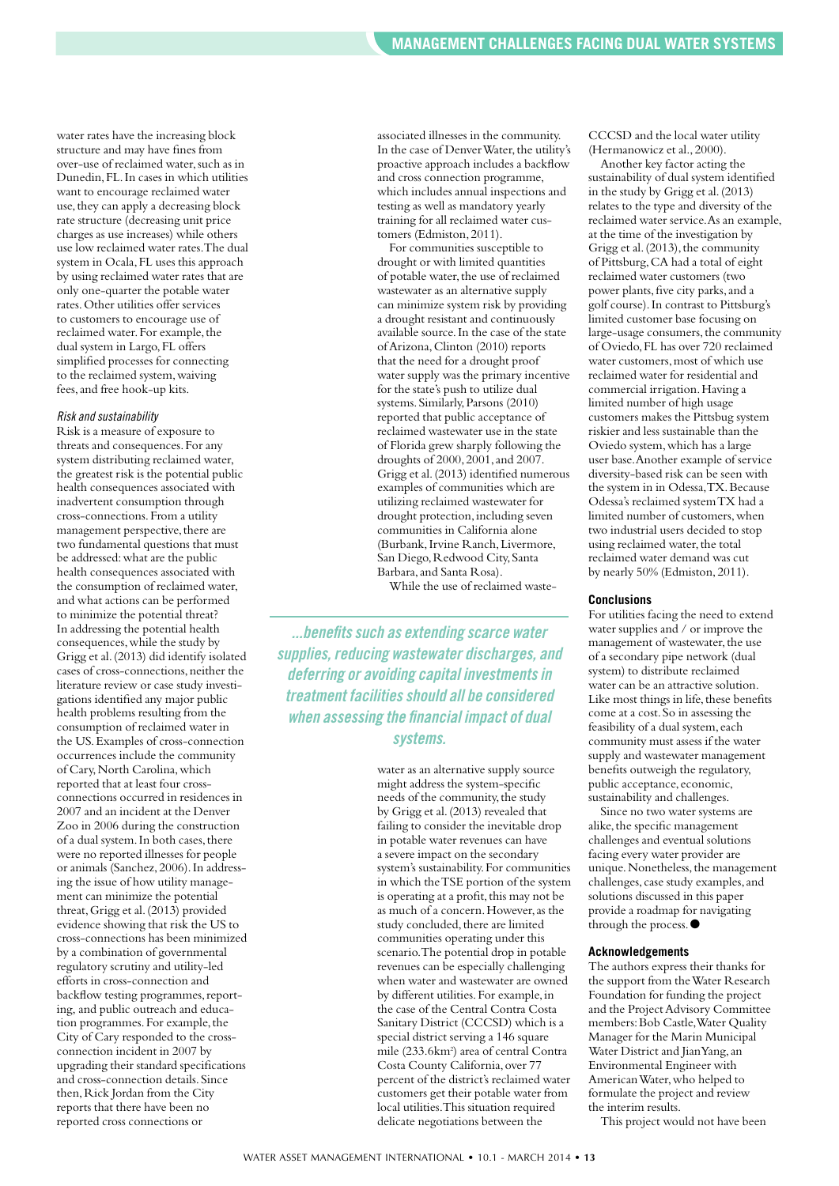water rates have the increasing block structure and may have fines from over-use of reclaimed water, such as in Dunedin,FL.In cases in which utilities want to encourage reclaimed water use, they can apply a decreasing block rate structure (decreasing unit price charges as use increases) while others use low reclaimed water rates.The dual system in Ocala,FL uses this approach by using reclaimed water rates that are only one-quarter the potable water rates.Other utilities offer services to customers to encourage use of reclaimed water.For example,the dual system in Largo,FL offers simplified processes for connecting to the reclaimed system,waiving fees,and free hook-up kits.

#### *Risk and sustainability*

Risk is a measure of exposure to threats and consequences.For any system distributing reclaimed water, the greatest risk is the potential public health consequences associated with inadvertent consumption through cross-connections.From a utility management perspective, there are two fundamental questions that must be addressed:what are the public health consequences associated with the consumption of reclaimed water, and what actions can be performed to minimize the potential threat? In addressing the potential health consequences,while the study by Grigg et al.(2013) did identify isolated cases of cross-connections, neither the literature review or case study investigations identified any major public health problems resulting from the consumption of reclaimed water in the US.Examples of cross-connection occurrences include the community of Cary,North Carolina,which reported that at least four crossconnections occurred in residences in 2007 and an incident at the Denver Zoo in 2006 during the construction of a dual system. In both cases, there were no reported illnesses for people or animals (Sanchez,2006).In addressing the issue of how utility management can minimize the potential threat,Grigg et al.(2013) provided evidence showing that risk the US to cross-connections has been minimized by a combination of governmental regulatory scrutiny and utility-led efforts in cross-connection and backflow testing programmes, reporting, and public outreach and education programmes. For example, the City of Cary responded to the crossconnection incident in 2007 by upgrading their standard specifications and cross-connection details.Since then, Rick Jordan from the City reports that there have been no reported cross connections or

associated illnesses in the community. In the case of Denver Water, the utility's proactive approach includes a backflow and cross connection programme, which includes annual inspections and testing as well as mandatory yearly training for all reclaimed water customers (Edmiston,2011).

For communities susceptible to drought or with limited quantities of potable water, the use of reclaimed wastewater as an alternative supply can minimize system risk by providing a drought resistant and continuously available source.In the case of the state ofArizona,Clinton (2010) reports that the need for a drought proof water supply was the primary incentive for the state's push to utilize dual systems.Similarly,Parsons (2010) reported that public acceptance of reclaimed wastewater use in the state of Florida grew sharply following the droughts of 2000,2001,and 2007. Grigg et al.(2013) identified numerous examples of communities which are utilizing reclaimed wastewater for drought protection,including seven communities in California alone (Burbank, Irvine Ranch, Livermore, San Diego, Redwood City, Santa Barbara,and Santa Rosa).

While the use of reclaimed waste-

*...benefitssuch as extending scarce water supplies, reducing wastewater discharges, and deferring or avoiding capital investmentsin treatment facilitiesshould all be considered when assessing the financial impact of dual systems.*

> water as an alternative supply source might address the system-specific needs of the community,the study by Grigg et al.(2013) revealed that failing to consider the inevitable drop in potable water revenues can have a severe impact on the secondary system's sustainability.For communities in which theTSE portion of the system is operating at a profit, this may not be as much of a concern.However,as the study concluded, there are limited communities operating under this scenario.The potential drop in potable revenues can be especially challenging when water and wastewater are owned by different utilities.For example,in the case of the Central Contra Costa Sanitary District (CCCSD) which is a special district serving a 146 square mile (233.6km<sup>2</sup>) area of central Contra Costa County California,over 77 percent of the district's reclaimed water customers get their potable water from local utilities.This situation required delicate negotiations between the

CCCSD and the local water utility (Hermanowicz et al.,2000).

Another key factor acting the sustainability of dual system identified in the study by Grigg et al.(2013) relates to the type and diversity of the reclaimed water service.As an example, at the time of the investigation by Grigg et al. (2013), the community of Pittsburg,CA had a total of eight reclaimed water customers (two power plants, five city parks, and a golf course).In contrast to Pittsburg's limited customer base focusing on large-usage consumers, the community of Oviedo,FL has over 720 reclaimed water customers, most of which use reclaimed water for residential and commercial irrigation.Having a limited number of high usage customers makes the Pittsbug system riskier and less sustainable than the Oviedo system,which has a large user base.Another example of service diversity-based risk can be seen with the system in in Odessa,TX.Because Odessa's reclaimed systemTX had a limited number of customers, when two industrial users decided to stop using reclaimed water, the total reclaimed water demand was cut by nearly 50% (Edmiston,2011).

#### **Conclusions**

For utilities facing the need to extend water supplies and / or improve the management of wastewater, the use of a secondary pipe network (dual system) to distribute reclaimed water can be an attractive solution. Like most things in life, these benefits come at a cost.So in assessing the feasibility of a dual system, each community must assess if the water supply and wastewater management benefits outweigh the regulatory, public acceptance, economic, sustainability and challenges.

Since no two water systems are alike, the specific management challenges and eventual solutions facing every water provider are unique. Nonetheless, the management challenges, case study examples,and solutions discussed in this paper provide a roadmap for navigating through the process. ●

#### **Acknowledgements**

The authors express their thanks for the support from theWater Research Foundation for funding the project and the Project Advisory Committee members: Bob Castle, Water Quality Manager for the Marin Municipal Water District and Jian Yang, an Environmental Engineer with AmericanWater,who helped to formulate the project and review the interim results.

This project would not have been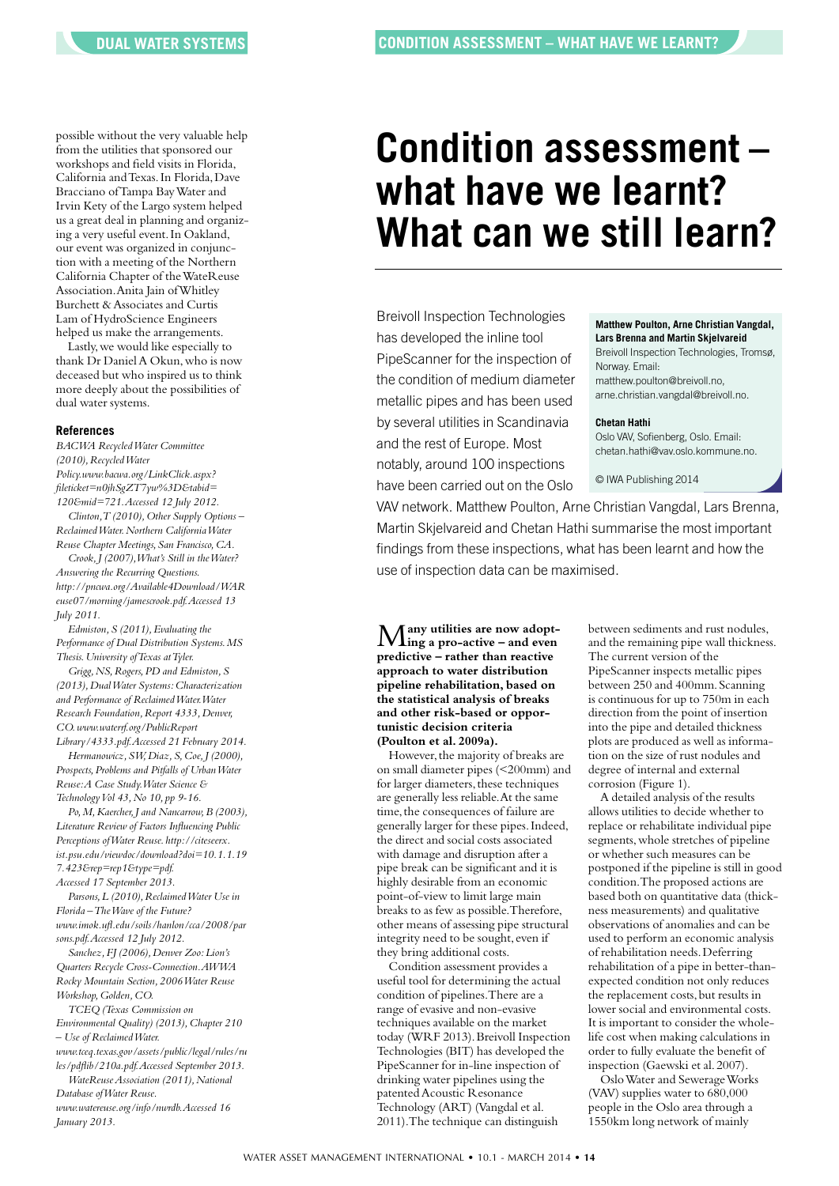possible without the very valuable help from the utilities that sponsored our workshops and field visits in Florida, California andTexas.In Florida,Dave Bracciano ofTampa BayWater and Irvin Kety of the Largo system helped us a great deal in planning and organizing a very useful event.In Oakland, our event was organized in conjunction with a meeting of the Northern California Chapter of theWateReuse Association.Anita Jain ofWhitley Burchett & Associates and Curtis Lam of HydroScience Engineers helped us make the arrangements.

Lastly,we would like especially to thank Dr Daniel A Okun, who is now deceased but who inspired us to think more deeply about the possibilities of dual water systems.

#### **References**

*BACWA RecycledWater Committee (2010),RecycledWater Policy.www.bacwa.org/LinkClick.aspx? fileticket=n0jhSgZT7yw%3D&tabid= 120&mid=721.Accessed 12 July 2012. Clinton, T (2010), Other Supply Options* – *ReclaimedWater.Northern CaliforniaWater Reuse Chapter Meetings,San Francisco,CA. Crook,J (2007),What's Still in theWater? Answering the Recurring Questions. http://pncwa.org/Available4Download/WAR euse07/morning/jamescrook.pdf.Accessed 13 July 2011. Edmiston,S (2011),Evaluating the*

*Performance of Dual Distribution Systems.MS Thesis.University ofTexas atTyler.*

*Grigg,NS,Rogers,PD and Edmiston,S (2013),DualWater Systems:Characterization and Performance of ReclaimedWater.Water Research Foundation,Report 4333,Denver, CO.www.waterrf.org/PublicReport Library/4333.pdf.Accessed 21 February 2014.*

*Hermanowicz,SW,Diaz,S,Coe,J (2000), Prospects,Problems and Pitfalls of UrbanWater Reuse:A Case Study.Water Science & TechnologyVol 43,No 10, pp 9-16.*

*Po,M,Kaercher,J and Nancarrow,B (2003), Literature Review of Factors Influencing Public Perceptions ofWater Reuse. http://citeseerx. ist.psu.edu/viewdoc/download?doi=10.1.1.19 7.423&rep=rep1&type=pdf.*

*Accessed 17 September 2013.*

*Parsons,L (2010),ReclaimedWater Use in Florida –TheWave of the Future? www.imok.ufl.edu/soils/hanlon/cca/2008/par sons.pdf.Accessed 12 July 2012.*

*Sanchez,FJ (2006),Denver Zoo:Lion's Quarters Recycle Cross-Connection.AWWA Rocky Mountain Section,2006Water Reuse Workshop,Golden,CO.*

*TCEQ (Texas Commission on Environmental Quality) (2013),Chapter 210 – Use of ReclaimedWater. www.tceq.texas.gov/assets/public/legal/rules/ru les/pdflib/210a.pdf.Accessed September 2013.*

*WateReuseAssociation* (2011), National *Database ofWater Reuse. www.watereuse.org/info/nwrdb.Accessed 16 January 2013.*

# **Condition assessment – what have we learnt? What can we still learn?**

Breivoll Inspection Technologies has developed the inline tool PipeScanner for the inspection of the condition of medium diameter metallic pipes and has been used by several utilities in Scandinavia and the rest of Europe. Most notably, around 100 inspections have been carried out on the Oslo

**Matthew Poulton, Arne Christian Vangdal, Lars Brenna and Martin Skjelvareid** Breivoll Inspection Technologies, Tromsø, Norway. Email: matthew.poulton@breivoll.no, arne.christian.vangdal@breivoll.no.

#### **Chetan Hathi**

Oslo VAV, Sofienberg, Oslo. Email: chetan.hathi@vav.oslo.kommune.no.

© IWA Publishing 2014

VAV network. Matthew Poulton, Arne Christian Vangdal, Lars Brenna, Martin Skjelvareid and Chetan Hathi summarise the most important findings from these inspections, what has been learnt and how the use of inspection data can be maximised.

M**any utilities are now adopt-ing a pro-active – and even predictive – rather than reactive approach to water distribution pipeline rehabilitation, based on the statistical analysis of breaks and other risk-based or opportunistic decision criteria (Poulton et al. 2009a).**

However, the majority of breaks are on small diameter pipes (<200mm) and for larger diameters, these techniques are generally less reliable.At the same time, the consequences of failure are generally larger for these pipes.Indeed, the direct and social costs associated with damage and disruption after a pipe break can be significant and it is highly desirable from an economic point-of-view to limit large main breaks to as few as possible.Therefore, other means of assessing pipe structural integrity need to be sought, even if they bring additional costs.

Condition assessment provides a useful tool for determining the actual condition of pipelines.There are a range of evasive and non-evasive techniques available on the market today (WRF 2013).Breivoll Inspection Technologies (BIT) has developed the PipeScanner for in-line inspection of drinking water pipelines using the patented Acoustic Resonance Technology (ART) (Vangdal et al. 2011).The technique can distinguish

between sediments and rust nodules, and the remaining pipe wall thickness. The current version of the PipeScanner inspects metallic pipes between 250 and 400mm. Scanning is continuous for up to 750m in each direction from the point of insertion into the pipe and detailed thickness plots are produced as well as information on the size of rust nodules and degree of internal and external corrosion (Figure 1).

A detailed analysis of the results allows utilities to decide whether to replace or rehabilitate individual pipe segments,whole stretches of pipeline or whether such measures can be postponed if the pipeline is still in good condition.The proposed actions are based both on quantitative data (thickness measurements) and qualitative observations of anomalies and can be used to perform an economic analysis of rehabilitation needs.Deferring rehabilitation of a pipe in better-thanexpected condition not only reduces the replacement costs, but results in lower social and environmental costs. It is important to consider the wholelife cost when making calculations in order to fully evaluate the benefit of inspection (Gaewski et al.2007).

OsloWater and SewerageWorks (VAV) supplies water to 680,000 people in the Oslo area through a 1550km long network of mainly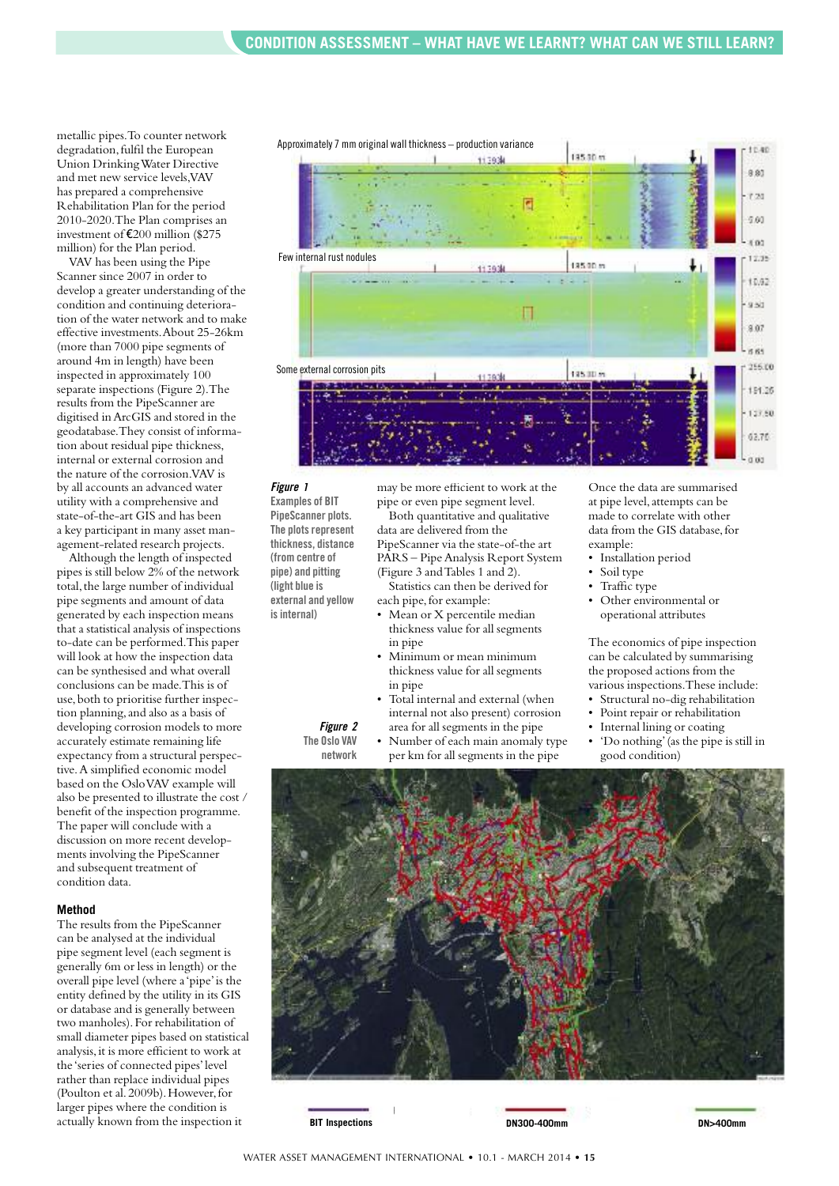metallic pipes.To counter network degradation, fulfil the European Union DrinkingWater Directive and met new service levels,VAV has prepared a comprehensive Rehabilitation Plan for the period 2010-2020.The Plan comprises an investment of €200 million (\$275 million) for the Plan period.

VAV has been using the Pipe Scanner since 2007 in order to develop a greater understanding of the condition and continuing deterioration of the water network and to make effective investments.About 25-26km (more than 7000 pipe segments of around 4m in length) have been inspected in approximately 100 separate inspections (Figure 2).The results from the PipeScanner are digitised inArcGIS and stored in the geodatabase.They consist of information about residual pipe thickness, internal or external corrosion and the nature of the corrosion.VAV is by all accounts an advanced water utility with a comprehensive and state-of-the-art GIS and has been a key participant in many asset management-related research projects.

Although the length of inspected pipes is still below 2% of the network total, the large number of individual pipe segments and amount of data generated by each inspection means that a statistical analysis of inspections to-date can be performed.This paper will look at how the inspection data can be synthesised and what overall conclusions can be made.This is of use,both to prioritise further inspection planning,and also as a basis of developing corrosion models to more accurately estimate remaining life expectancy from a structural perspective.A simplified economic model based on the OsloVAV example will also be presented to illustrate the cost / benefit of the inspection programme. The paper will conclude with a discussion on more recent developments involving the PipeScanner and subsequent treatment of condition data.

#### **Method**

The results from the PipeScanner can be analysed at the individual pipe segment level (each segment is generally 6m or less in length) or the overall pipe level (where a'pipe'is the entity defined by the utility in its GIS or database and is generally between two manholes).For rehabilitation of small diameter pipes based on statistical analysis,it is more efficient to work at the 'series of connected pipes'level rather than replace individual pipes (Poulton et al. 2009b). However, for larger pipes where the condition is actually known from the inspection it



## *Figure 1* **Examples of BIT PipeScanner plots. The plots represent**

**thickness, distance (from centre of pipe) and pitting (light blue is external and yellow isinternal)**

> *Figure 2* **The Oslo VAV network**

may be more efficient to work at the pipe or even pipe segment level. Both quantitative and qualitative data are delivered from the PipeScanner via the state-of-the art

PARS – Pipe Analysis Report System (Figure 3 andTables 1 and 2). Statistics can then be derived for

each pipe, for example:

- Mean or X percentile median thickness value for all segments in pipe
- Minimum or mean minimum thickness value for all segments in pipe
- Total internal and external (when internal not also present) corrosion area for all segments in the pipe
- Number of each main anomaly type per km for all segments in the pipe

Once the data are summarised at pipe level,attempts can be made to correlate with other data from the GIS database, for example:

- Installation period
- Soil type
- Traffic type
- Other environmental or operational attributes

The economics of pipe inspection can be calculated by summarising the proposed actions from the various inspections.These include:

- Structural no-dig rehabilitation
- Point repair or rehabilitation
- Internal lining or coating
- 'Do nothing'(as the pipe is still in good condition)



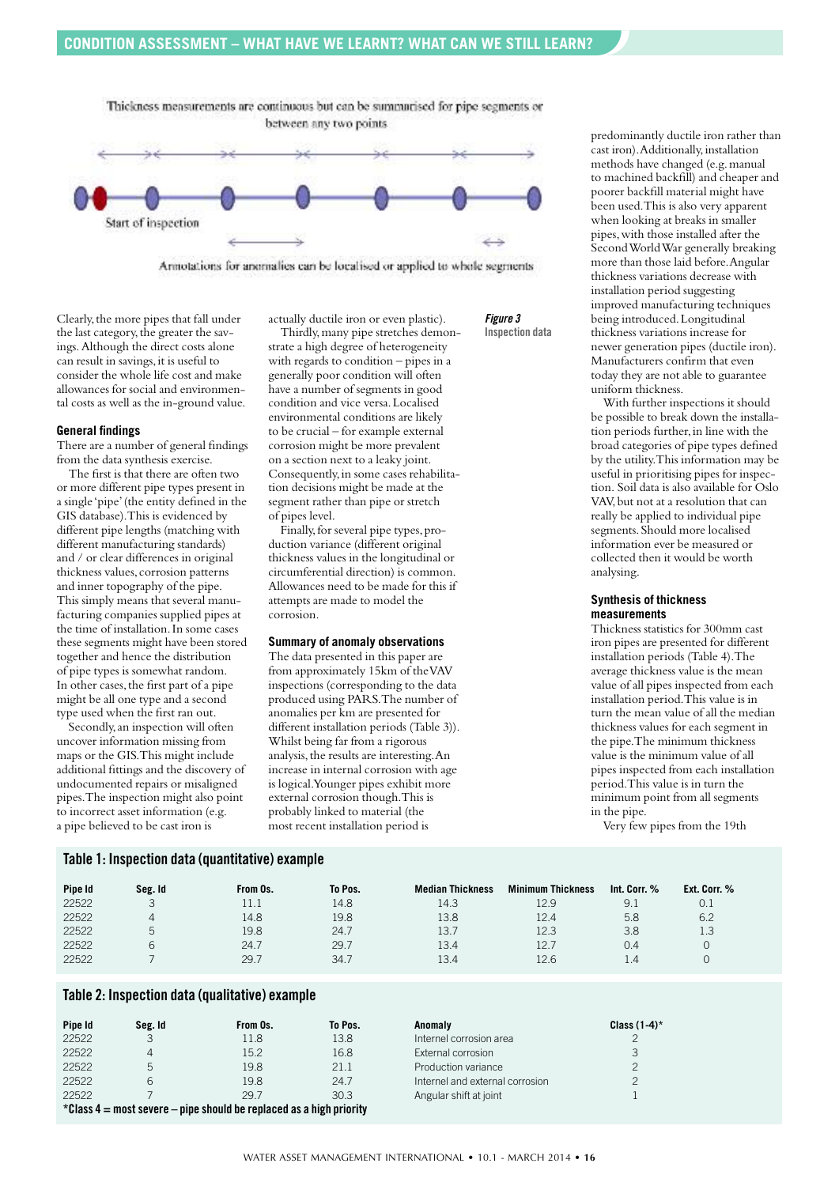Thickness measurements are continuous but can be summarised for pipe segments or between any two points



Annotations for anomalies can be localised or applied to whole segments

Clearly, the more pipes that fall under the last category, the greater the savings.Although the direct costs alone can result in savings, it is useful to consider the whole life cost and make allowances for social and environmental costs as well as the in-ground value.

#### **General findings**

There are a number of general findings from the data synthesis exercise.

The first is that there are often two or more different pipe types present in a single 'pipe'(the entity defined in the GIS database).This is evidenced by different pipe lengths (matching with different manufacturing standards) and / or clear differences in original thickness values, corrosion patterns and inner topography of the pipe. This simply means that several manufacturing companies supplied pipes at the time of installation.In some cases these segments might have been stored together and hence the distribution of pipe types is somewhat random. In other cases, the first part of a pipe might be all one type and a second type used when the first ran out.

Secondly,an inspection will often uncover information missing from maps or the GIS.This might include additional fittings and the discovery of undocumented repairs or misaligned pipes.The inspection might also point to incorrect asset information (e.g. a pipe believed to be cast iron is

actually ductile iron or even plastic).

*Figure 3* **Inspection data**

Thirdly, many pipe stretches demonstrate a high degree of heterogeneity with regards to condition – pipes in a generally poor condition will often have a number of segments in good condition and vice versa.Localised environmental conditions are likely to be crucial – for example external corrosion might be more prevalent on a section next to a leaky joint. Consequently,in some cases rehabilitation decisions might be made at the segment rather than pipe or stretch of pipes level.

Finally, for several pipe types, production variance (different original thickness values in the longitudinal or circumferential direction) is common. Allowances need to be made for this if attempts are made to model the corrosion.

#### **Summary of anomaly observations**

The data presented in this paper are from approximately 15km of theVAV inspections (corresponding to the data produced using PARS.The number of anomalies per km are presented for different installation periods (Table 3)). Whilst being far from a rigorous analysis, the results are interesting. An increase in internal corrosion with age is logical.Younger pipes exhibit more external corrosion though.This is probably linked to material (the most recent installation period is

predominantly ductile iron rather than cast iron).Additionally,installation methods have changed (e.g.manual to machined backfill) and cheaper and poorer backfill material might have been used.This is also very apparent when looking at breaks in smaller pipes,with those installed after the SecondWorldWar generally breaking more than those laid before.Angular thickness variations decrease with installation period suggesting improved manufacturing techniques being introduced.Longitudinal thickness variations increase for newer generation pipes (ductile iron). Manufacturers confirm that even today they are not able to guarantee uniform thickness.

With further inspections it should be possible to break down the installation periods further,in line with the broad categories of pipe types defined by the utility.This information may be useful in prioritising pipes for inspection. Soil data is also available for Oslo VAV,but not at a resolution that can really be applied to individual pipe segments.Should more localised information ever be measured or collected then it would be worth analysing.

#### **Synthesis of thickness measurements**

Thickness statistics for 300mm cast iron pipes are presented for different installation periods (Table 4).The average thickness value is the mean value of all pipes inspected from each installation period.This value is in turn the mean value of all the median thickness values for each segment in the pipe.The minimum thickness value is the minimum value of all pipes inspected from each installation period.This value is in turn the minimum point from all segments in the pipe.

Very few pipes from the 19th

| Pipe Id | Seg. Id      | From Os. | To Pos. | <b>Median Thickness</b> | <b>Minimum Thickness</b> | Int. Corr. % | Ext. Corr. % |
|---------|--------------|----------|---------|-------------------------|--------------------------|--------------|--------------|
| 22522   |              |          | 14.8    | 14.3                    | 12.9                     | 9.1          | 0.1          |
| 22522   |              | 14.8     | 19.8    | 13.8                    | 12.4                     | 5.8          | 6.2          |
| 22522   | $\mathsf{h}$ | 19.8     | 24.7    | 13.7                    | 12.3                     | 3.8          | 1.3          |
| 22522   | ь            | 24.7     | 29.7    | 13.4                    | 12.7                     | 0.4          |              |
| 22522   |              | 29.7     | 34.7    | 13.4                    | 12.6                     | 1.4          |              |

### **Table 2: Inspection data (qualitative) example**

**Table 1: Inspection data (quantitative) example**

| Pipe Id                                                                | Seg. Id | From Os. | To Pos. | Anomaly                         | Class $(1-4)^*$ |  |
|------------------------------------------------------------------------|---------|----------|---------|---------------------------------|-----------------|--|
| 22522                                                                  | 3       | 11.8     | 13.8    | Internel corrosion area         |                 |  |
| 22522                                                                  | 4       | 15.2     | 16.8    | External corrosion              |                 |  |
| 22522                                                                  | 5       | 19.8     | 21.1    | Production variance             |                 |  |
| 22522                                                                  | 6       | 19.8     | 24.7    | Internel and external corrosion |                 |  |
| 22522                                                                  |         | 29.7     | 30.3    | Angular shift at joint          |                 |  |
| $*$ Class 4 = most severe – pipe should be replaced as a high priority |         |          |         |                                 |                 |  |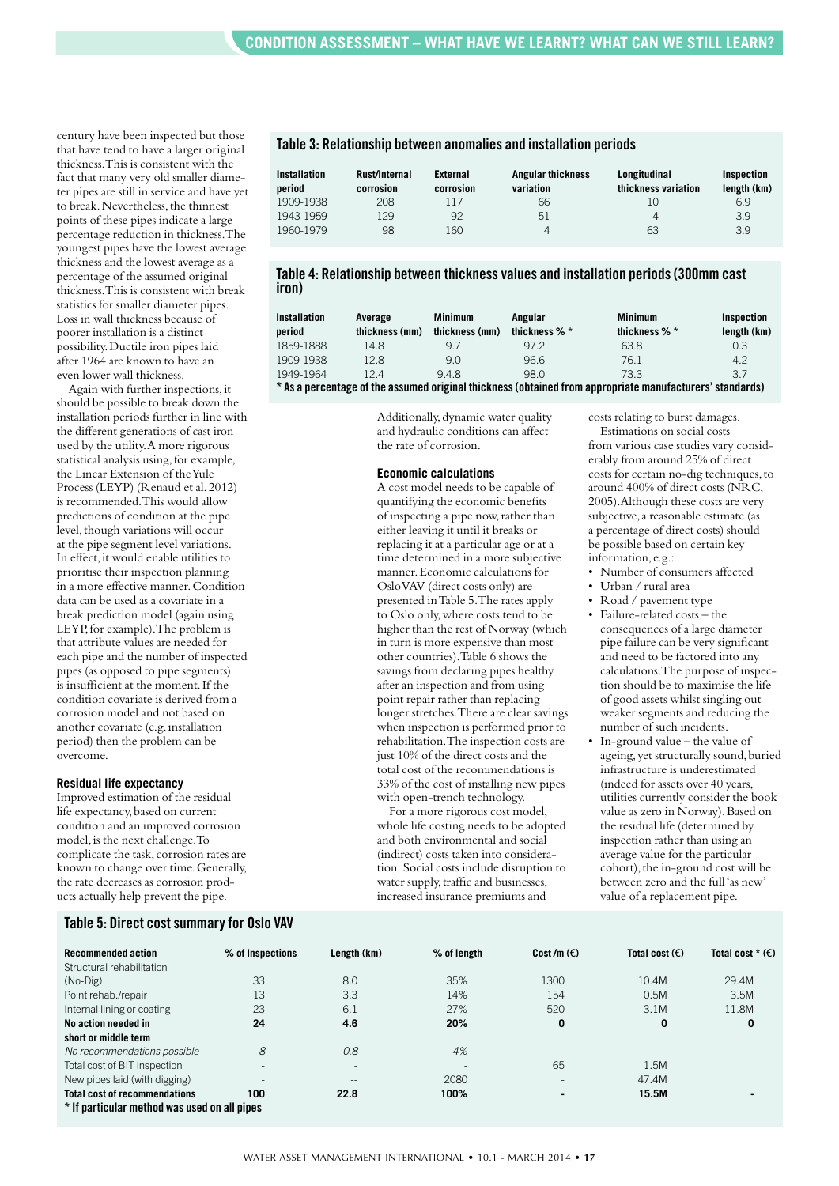century have been inspected but those that have tend to have a larger original thickness.This is consistent with the fact that many very old smaller diameter pipes are still in service and have yet to break. Nevertheless, the thinnest points of these pipes indicate a large percentage reduction in thickness.The youngest pipes have the lowest average thickness and the lowest average as a percentage of the assumed original thickness.This is consistent with break statistics for smaller diameter pipes. Loss in wall thickness because of poorer installation is a distinct possibility.Ductile iron pipes laid after 1964 are known to have an even lower wall thickness.

Again with further inspections,it should be possible to break down the installation periods further in line with the different generations of cast iron used by the utility.A more rigorous statistical analysis using,for example, the Linear Extension of theYule Process (LEYP) (Renaud et al.2012) is recommended.This would allow predictions of condition at the pipe level, though variations will occur at the pipe segment level variations. In effect,it would enable utilities to prioritise their inspection planning in a more effective manner.Condition data can be used as a covariate in a break prediction model (again using LEYP,for example).The problem is that attribute values are needed for each pipe and the number of inspected pipes (as opposed to pipe segments) is insufficient at the moment.If the condition covariate is derived from a corrosion model and not based on another covariate (e.g.installation period) then the problem can be overcome.

#### **Residual life expectancy**

Improved estimation of the residual life expectancy,based on current condition and an improved corrosion model, is the next challenge.To complicate the task, corrosion rates are known to change over time.Generally, the rate decreases as corrosion products actually help prevent the pipe.

#### **Table 3: Relationship between anomalies and installation periods**

| <b>Installation</b><br>period | Rust/Internal<br>corrosion | External<br>corrosion | <b>Angular thickness</b><br>variation | Longitudinal<br>thickness variation | Inspection<br>length (km) |
|-------------------------------|----------------------------|-----------------------|---------------------------------------|-------------------------------------|---------------------------|
| 1909-1938                     | 208                        | 117                   | 66                                    | 10                                  | 6.9                       |
| 1943-1959                     | 129                        | 92                    | 51                                    | 4                                   | 3.9                       |
| 1960-1979                     | 98                         | 160                   | 4                                     | 63                                  | 3.9                       |

#### **Table 4: Relationship between thicknessvalues and installation periods(300mm cast iron)**

| <b>Installation</b>                                                                                      | Average        | <b>Minimum</b> | Angular       | <b>Minimum</b> | Inspection  |  |
|----------------------------------------------------------------------------------------------------------|----------------|----------------|---------------|----------------|-------------|--|
| period                                                                                                   | thickness (mm) | thickness (mm) | thickness % * | thickness % *  | length (km) |  |
| 1859-1888                                                                                                | 14.8           | 9.7            | 972           | 63.8           | 0.3         |  |
| 1909-1938                                                                                                | 12.8           | 9.0            | 96.6          | 76.1           | 4.2         |  |
| 1949-1964                                                                                                | 124            | 948            | 98 O          | 73.3           | 3.7         |  |
| * As a percentage of the assumed original thickness (obtained from appropriate manufacturers' standards) |                |                |               |                |             |  |

Additionally,dynamic water quality and hydraulic conditions can affect the rate of corrosion.

#### **Economic calculations**

A cost model needs to be capable of quantifying the economic benefits of inspecting a pipe now,rather than either leaving it until it breaks or replacing it at a particular age or at a time determined in a more subjective manner.Economic calculations for OsloVAV (direct costs only) are presented inTable 5.The rates apply to Oslo only,where costs tend to be higher than the rest of Norway (which in turn is more expensive than most other countries).Table 6 shows the savings from declaring pipes healthy after an inspection and from using point repair rather than replacing longer stretches.There are clear savings when inspection is performed prior to rehabilitation.The inspection costs are just 10% of the direct costs and the total cost of the recommendations is 33% of the cost of installing new pipes with open-trench technology.

For a more rigorous cost model, whole life costing needs to be adopted and both environmental and social (indirect) costs taken into consideration. Social costs include disruption to water supply, traffic and businesses, increased insurance premiums and

costs relating to burst damages. Estimations on social costs from various case studies vary considerably from around 25% of direct costs for certain no-dig techniques,to around 400% of direct costs (NRC, 2005).Although these costs are very subjective,a reasonable estimate (as a percentage of direct costs) should be possible based on certain key

- information, e.g.: • Number of consumers affected
- Urban / rural area
- Road / pavement type
- Failure-related costs the consequences of a large diameter pipe failure can be very significant and need to be factored into any calculations.The purpose of inspection should be to maximise the life of good assets whilst singling out weaker segments and reducing the number of such incidents.
- In-ground value  $-$  the value of ageing, yet structurally sound, buried infrastructure is underestimated (indeed for assets over 40 years, utilities currently consider the book value as zero in Norway).Based on the residual life (determined by inspection rather than using an average value for the particular cohort), the in-ground cost will be between zero and the full'as new' value of a replacement pipe.

#### **Table 5: Direct costsummaryfor Oslo VAV**

| <b>Recommended action</b>                    | % of Inspections         | Length (km)              | % of length | Cost/m $(\epsilon)$      | Total cost $(\epsilon)$ | Total cost $*(\epsilon)$ |
|----------------------------------------------|--------------------------|--------------------------|-------------|--------------------------|-------------------------|--------------------------|
| Structural rehabilitation                    |                          |                          |             |                          |                         |                          |
| $(No-Dig)$                                   | 33                       | 8.0                      | 35%         | 1300                     | 10.4M                   | 29.4M                    |
| Point rehab./repair                          | 13                       | 3.3                      | 14%         | 154                      | 0.5M                    | 3.5M                     |
| Internal lining or coating                   | 23                       | 6.1                      | 27%         | 520                      | 3.1M                    | 11.8M                    |
| No action needed in                          | 24                       | 4.6                      | 20%         | 0                        | 0                       | 0                        |
| short or middle term                         |                          |                          |             |                          |                         |                          |
| No recommendations possible                  | 8                        | 0.8                      | 4%          | $\overline{\phantom{a}}$ |                         |                          |
| Total cost of BIT inspection                 |                          | $\overline{\phantom{a}}$ |             | 65                       | 1.5M                    |                          |
| New pipes laid (with digging)                | $\overline{\phantom{a}}$ | $\qquad \qquad -$        | 2080        | $\overline{\phantom{a}}$ | 47.4M                   |                          |
| <b>Total cost of recommendations</b>         | 100                      | 22.8                     | 100%        | $\overline{\phantom{0}}$ | 15.5M                   |                          |
| * If particular method was used on all pipes |                          |                          |             |                          |                         |                          |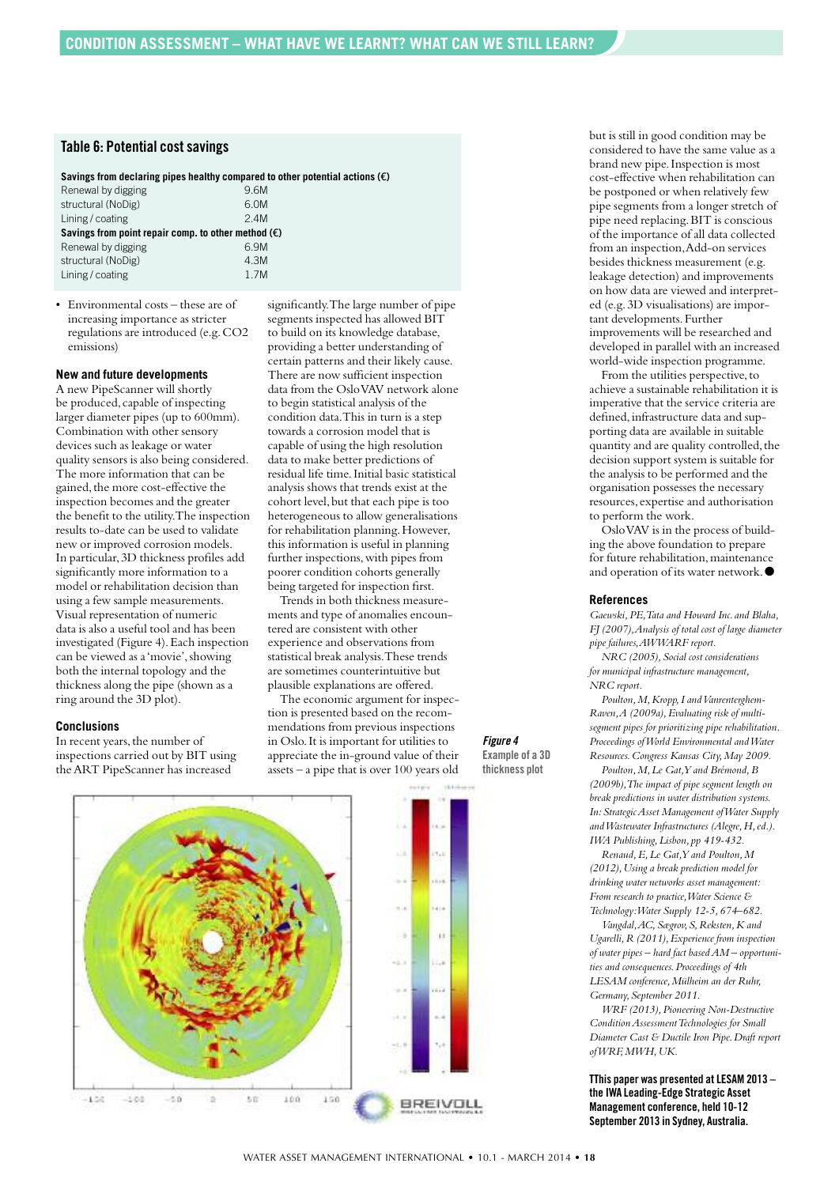# **Table 6: Potential costsavings**

#### **Savings from declaring pipes healthy compared to other potential actions (**€**)**

| 9.6M                                                         |
|--------------------------------------------------------------|
| 6.0M                                                         |
| 24M                                                          |
| Savings from point repair comp. to other method $(\epsilon)$ |
| 6.9M                                                         |
| 4.3M                                                         |
| 1 7 M                                                        |
|                                                              |

• Environmental costs – these are of increasing importance as stricter regulations are introduced (e.g.CO2 emissions)

#### **New and future developments**

A new PipeScanner will shortly be produced, capable of inspecting larger diameter pipes (up to 600mm). Combination with other sensory devices such as leakage or water quality sensors is also being considered. The more information that can be gained, the more cost-effective the inspection becomes and the greater the benefit to the utility.The inspection results to-date can be used to validate new or improved corrosion models. In particular,3D thickness profiles add significantly more information to a model or rehabilitation decision than using a few sample measurements. Visual representation of numeric data is also a useful tool and has been investigated (Figure 4).Each inspection can be viewed as a 'movie', showing both the internal topology and the thickness along the pipe (shown as a ring around the 3D plot).

#### **Conclusions**

In recent years, the number of inspections carried out by BIT using theART PipeScanner has increased

significantly.The large number of pipe segments inspected has allowed BIT to build on its knowledge database, providing a better understanding of certain patterns and their likely cause. There are now sufficient inspection data from the OsloVAV network alone to begin statistical analysis of the condition data.This in turn is a step towards a corrosion model that is capable of using the high resolution data to make better predictions of residual life time.Initial basic statistical analysis shows that trends exist at the cohort level,but that each pipe is too heterogeneous to allow generalisations for rehabilitation planning.However, this information is useful in planning further inspections,with pipes from poorer condition cohorts generally being targeted for inspection first. Trends in both thickness measure-

ments and type of anomalies encountered are consistent with other experience and observations from statistical break analysis.These trends are sometimes counterintuitive but plausible explanations are offered.

The economic argument for inspection is presented based on the recommendations from previous inspections in Oslo.It is important for utilities to appreciate the in-ground value of their assets – a pipe that is over 100 years old





but is still in good condition may be considered to have the same value as a brand new pipe.Inspection is most cost-effective when rehabilitation can be postponed or when relatively few pipe segments from a longer stretch of pipe need replacing.BIT is conscious of the importance of all data collected from an inspection,Add-on services besides thickness measurement (e.g. leakage detection) and improvements on how data are viewed and interpreted (e.g.3D visualisations) are important developments. Further improvements will be researched and developed in parallel with an increased world-wide inspection programme.

From the utilities perspective, to achieve a sustainable rehabilitation it is imperative that the service criteria are defined, infrastructure data and supporting data are available in suitable quantity and are quality controlled, the decision support system is suitable for the analysis to be performed and the organisation possesses the necessary resources, expertise and authorisation to perform the work.

OsloVAV is in the process of building the above foundation to prepare for future rehabilitation,maintenance and operation of its water network.●

#### **References**

*Gaewski,PE,Tata and Howard Inc. and Blaha, FJ (2007),Analysis of total cost of large diameter pipe failures,AWWARF report.*

*NRC (2005),Social cost considerations for municipal infrastructure management, NRC report.*

Poulton, M, Kropp, I and Vanrenterghem-*Raven,A (2009a),Evaluating risk of multisegment pipes for prioritizing pipe rehabilitation. Proceedings ofWorld Environmental andWater Resources.Congress Kansas City,May 2009.*

*Poulton,M,Le Gat,Y and Brémond,B (2009b),The impact of pipe segment length on break predictions in water distribution systems. In:StrategicAsset Management ofWater Supply andWastewater Infrastructures (Alegre,H,ed.). IWA Publishing,Lisbon, pp 419-432.*

*Renaud,E,Le Gat,Y and Poulton,M (2012),Using a break prediction model for drinking water networks asset management: From research to practice,Water Science & Technology:Water Supply 12-5,674–682.*

*Vangdal,AC,Sægrov,S,Reksten,K and Ugarelli,R (2011),Experience from inspection of water pipes – hard fact basedAM – opportunities and consequences.Proceedings of 4th LESAM conference,Mülheim an der Ruhr, Germany,September 2011.*

*WRF (2013),Pioneering Non-Destructive ConditionAssessmentTechnologies for Small Diameter Cast & Ductile Iron Pipe.Draft report ofWRF,MWH,UK.*

**TThis paper was presented atLESAM 2013 – the IWA Leading-Edge Strategic Asset Management conference, held 10-12 September 2013 in Sydney, Australia.**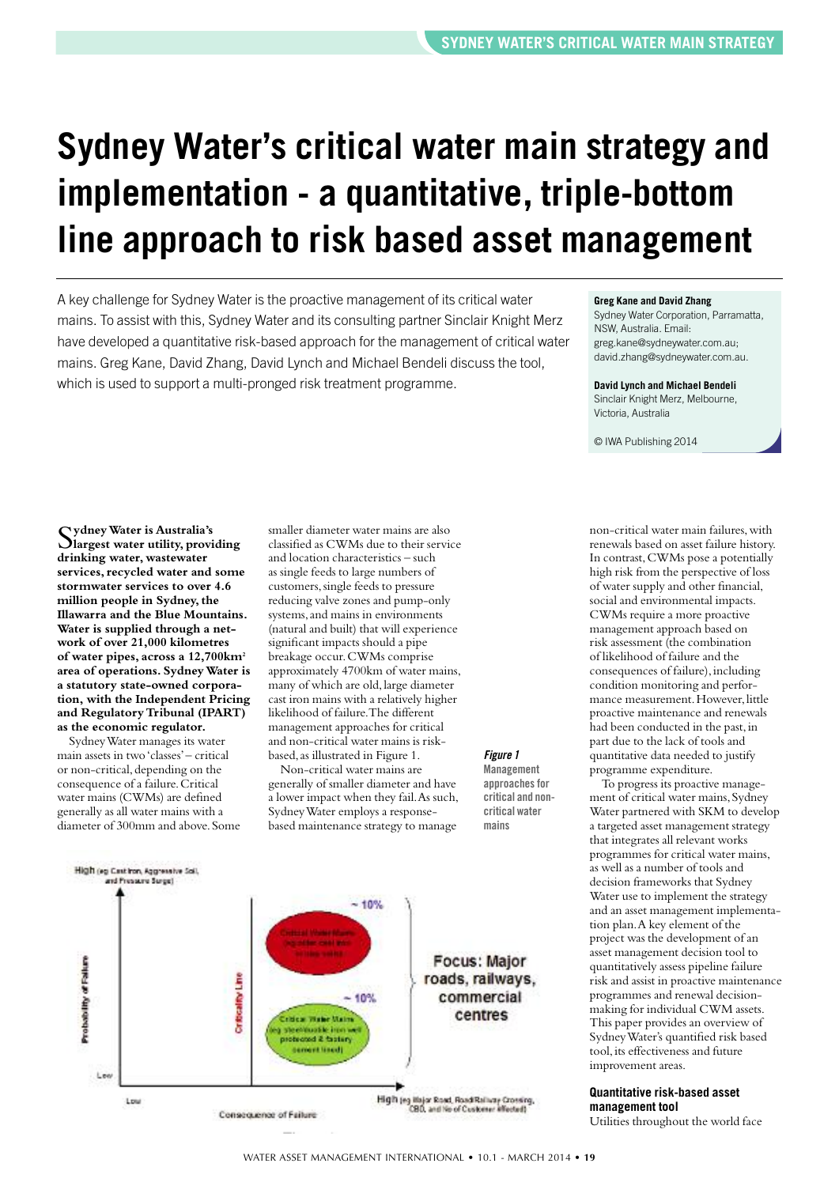# **Sydney Water's critical water main strategy and implementation - a quantitative, triple-bottom line approach to risk based asset management**

A key challenge for Sydney Water is the proactive management of its critical water mains. To assist with this, Sydney Water and its consulting partner Sinclair Knight Merz have developed a quantitative risk-based approach for the management of critical water mains. Greg Kane, David Zhang, David Lynch and Michael Bendeli discuss the tool, which is used to support a multi-pronged risk treatment programme.

#### **Greg Kane and David Zhang**

Sydney Water Corporation, Parramatta, NSW, Australia. Email: greg.kane@sydneywater.com.au; david.zhang@sydneywater.com.au.

#### **David Lynch and Michael Bendeli**

Sinclair Knight Merz, Melbourne, Victoria, Australia

non-critical water main failures, with renewals based on asset failure history. In contrast,CWMs pose a potentially high risk from the perspective of loss of water supply and other financial, social and environmental impacts. CWMs require a more proactive management approach based on risk assessment (the combination of likelihood of failure and the consequences of failure), including condition monitoring and performance measurement. However, little proactive maintenance and renewals had been conducted in the past,in part due to the lack of tools and quantitative data needed to justify programme expenditure.

To progress its proactive management of critical water mains, Sydney Water partnered with SKM to develop a targeted asset management strategy that integrates all relevant works programmes for critical water mains, as well as a number of tools and decision frameworks that Sydney Water use to implement the strategy and an asset management implementation plan.A key element of the project was the development of an asset management decision tool to quantitatively assess pipeline failure risk and assist in proactive maintenance programmes and renewal decisionmaking for individual CWM assets. This paper provides an overview of SydneyWater's quantified risk based tool,its effectiveness and future

© IWA Publishing 2014

S**ydneyWater is Australia's largest water utility, providing drinking water, wastewater services,recycled water and some stormwater services to over 4.6 million people in Sydney,the Illawarra and the Blue Mountains. Water is supplied through a network of over 21,000 kilometres of water pipes, across a 12,700km2 area of operations. SydneyWater is a statutory state-owned corporation, with the Independent Pricing and RegulatoryTribunal (IPART) as the economic regulator.**

SydneyWater manages its water main assets in two'classes'– critical or non-critical, depending on the consequence of a failure.Critical water mains (CWMs) are defined generally as all water mains with a diameter of 300mm and above. Some smaller diameter water mains are also classified as CWMs due to their service and location characteristics – such as single feeds to large numbers of customers,single feeds to pressure reducing valve zones and pump-only systems, and mains in environments (natural and built) that will experience significant impacts should a pipe breakage occur.CWMs comprise approximately 4700km of water mains, many of which are old,large diameter cast iron mains with a relatively higher likelihood of failure.The different management approaches for critical and non-critical water mains is riskbased,as illustrated in Figure 1.

Non-critical water mains are generally of smaller diameter and have a lower impact when they fail.As such, SydneyWater employs a responsebased maintenance strategy to manage

# *Figure 1*

**Management approachesfor critical and noncritical water mains**



**Quantitative risk-based asset management tool**

improvement areas.

Utilities throughout the world face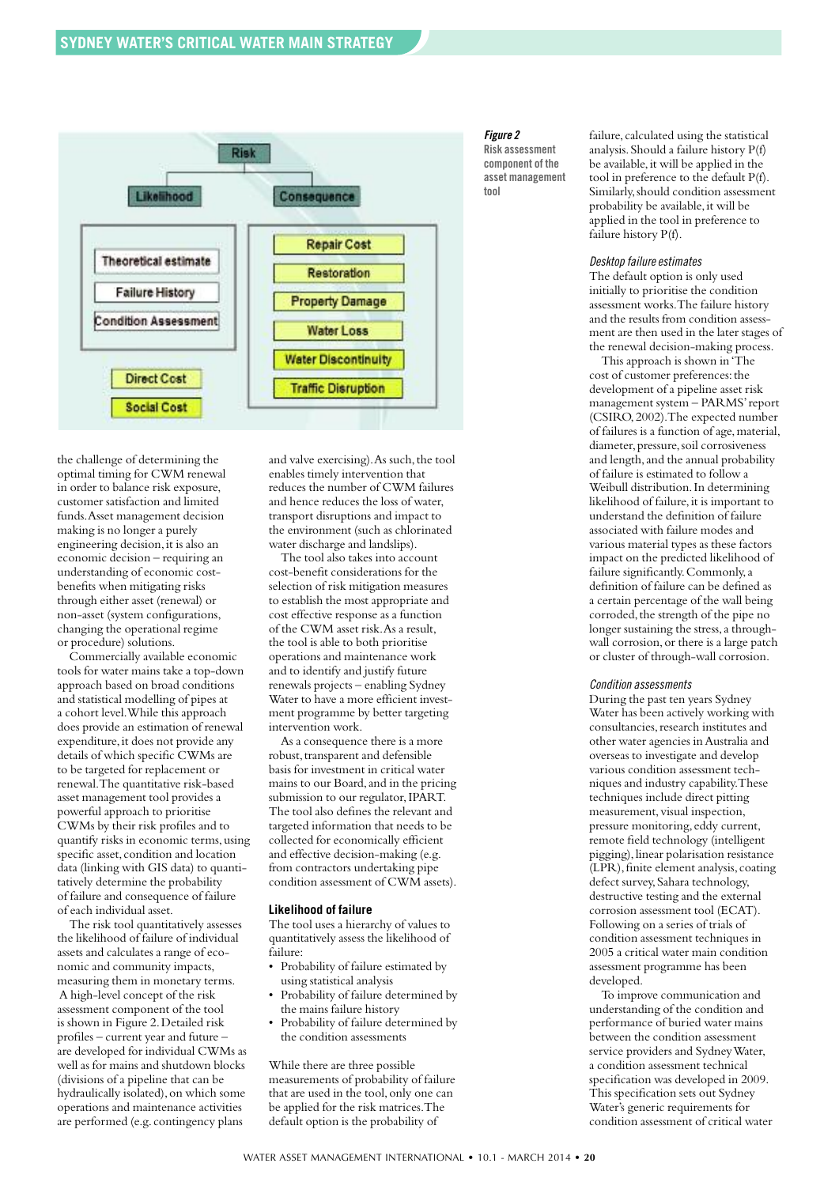

the challenge of determining the optimal timing for CWM renewal in order to balance risk exposure, customer satisfaction and limited funds.Asset management decision making is no longer a purely engineering decision, it is also an economic decision – requiring an understanding of economic costbenefits when mitigating risks through either asset (renewal) or non-asset (system configurations, changing the operational regime or procedure) solutions.

Commercially available economic tools for water mains take a top-down approach based on broad conditions and statistical modelling of pipes at a cohort level.While this approach does provide an estimation of renewal expenditure, it does not provide any details of which specific CWMs are to be targeted for replacement or renewal.The quantitative risk-based asset management tool provides a powerful approach to prioritise CWMs by their risk profiles and to quantify risks in economic terms,using specific asset, condition and location data (linking with GIS data) to quantitatively determine the probability of failure and consequence of failure of each individual asset.

The risk tool quantitatively assesses the likelihood of failure of individual assets and calculates a range of economic and community impacts, measuring them in monetary terms. A high-level concept of the risk assessment component of the tool is shown in Figure 2.Detailed risk profiles – current year and future – are developed for individual CWMs as well as for mains and shutdown blocks (divisions of a pipeline that can be hydraulically isolated), on which some operations and maintenance activities are performed (e.g. contingency plans

and valve exercising). As such, the tool enables timely intervention that reduces the number of CWM failures and hence reduces the loss of water, transport disruptions and impact to the environment (such as chlorinated water discharge and landslips).

The tool also takes into account cost-benefit considerations for the selection of risk mitigation measures to establish the most appropriate and cost effective response as a function of the CWM asset risk.As a result, the tool is able to both prioritise operations and maintenance work and to identify and justify future renewals projects – enabling Sydney Water to have a more efficient investment programme by better targeting intervention work.

As a consequence there is a more robust, transparent and defensible basis for investment in critical water mains to our Board,and in the pricing submission to our regulator,IPART. The tool also defines the relevant and targeted information that needs to be collected for economically efficient and effective decision-making (e.g. from contractors undertaking pipe condition assessment of CWM assets).

#### **Likelihood of failure**

The tool uses a hierarchy of values to quantitatively assess the likelihood of failure:

- Probability of failure estimated by using statistical analysis
- Probability of failure determined by the mains failure history
- Probability of failure determined by the condition assessments

While there are three possible measurements of probability of failure that are used in the tool,only one can be applied for the risk matrices.The default option is the probability of

## *Figure 2*

**Risk assessment component of the asset management tool**

failure, calculated using the statistical analysis.Should a failure history P(f) be available,it will be applied in the tool in preference to the default P(f). Similarly,should condition assessment probability be available, it will be applied in the tool in preference to failure history P(f).

#### *Desktop failure estimates*

The default option is only used initially to prioritise the condition assessment works.The failure history and the results from condition assessment are then used in the later stages of the renewal decision-making process.

This approach is shown in'The cost of customer preferences: the development of a pipeline asset risk management system – PARMS'report (CSIRO,2002).The expected number of failures is a function of age,material, diameter, pressure, soil corrosiveness and length, and the annual probability of failure is estimated to follow a Weibull distribution.In determining likelihood of failure, it is important to understand the definition of failure associated with failure modes and various material types as these factors impact on the predicted likelihood of failure significantly. Commonly, a definition of failure can be defined as a certain percentage of the wall being corroded, the strength of the pipe no longer sustaining the stress, a throughwall corrosion,or there is a large patch or cluster of through-wall corrosion.

#### *Condition assessments*

During the past ten years Sydney Water has been actively working with consultancies,research institutes and other water agencies inAustralia and overseas to investigate and develop various condition assessment techniques and industry capability.These techniques include direct pitting measurement, visual inspection, pressure monitoring, eddy current, remote field technology (intelligent pigging), linear polarisation resistance (LPR),finite element analysis, coating defect survey, Sahara technology, destructive testing and the external corrosion assessment tool (ECAT). Following on a series of trials of condition assessment techniques in 2005 a critical water main condition assessment programme has been developed.

To improve communication and understanding of the condition and performance of buried water mains between the condition assessment service providers and SydneyWater, a condition assessment technical specification was developed in 2009. This specification sets out Sydney Water's generic requirements for condition assessment of critical water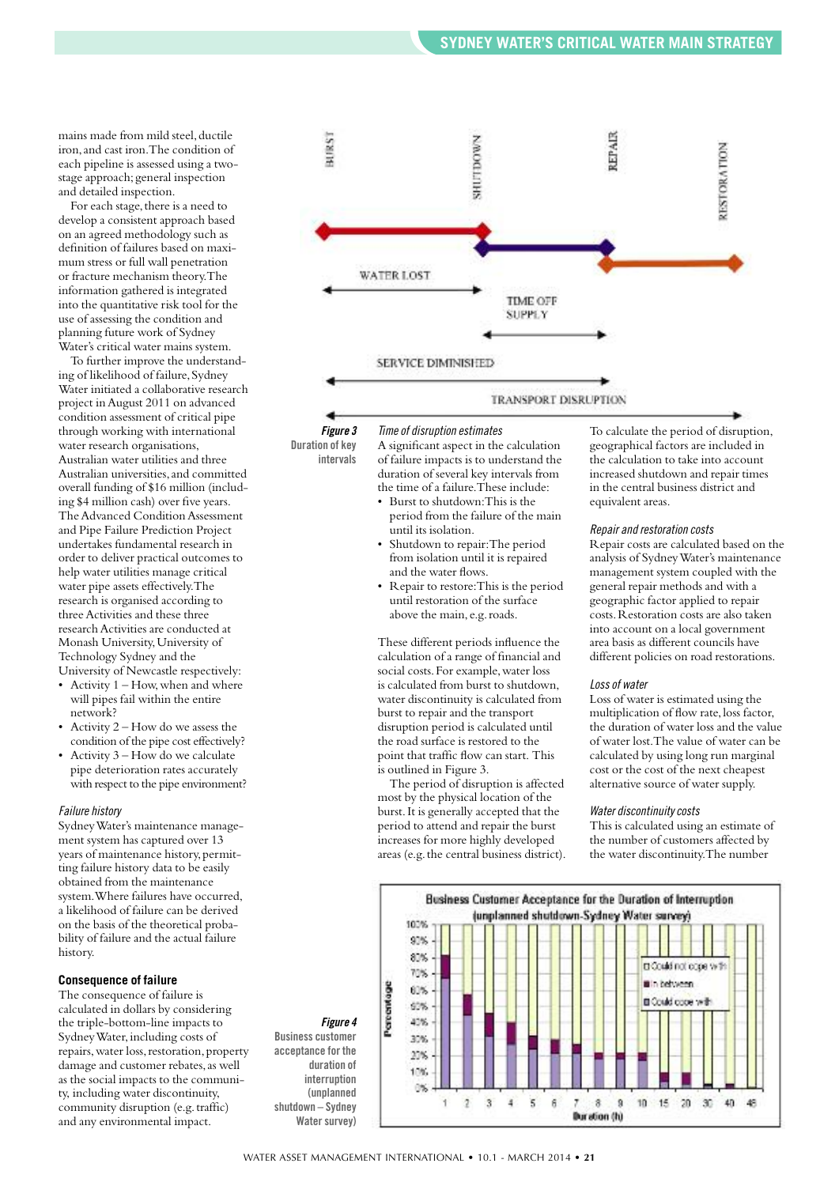mains made from mild steel, ductile iron,and cast iron.The condition of each pipeline is assessed using a twostage approach; general inspection and detailed inspection.

For each stage, there is a need to develop a consistent approach based on an agreed methodology such as definition of failures based on maximum stress or full wall penetration or fracture mechanism theory.The information gathered is integrated into the quantitative risk tool for the use of assessing the condition and planning future work of Sydney Water's critical water mains system.

To further improve the understanding of likelihood of failure, Sydney Water initiated a collaborative research project inAugust 2011 on advanced condition assessment of critical pipe through working with international water research organisations, Australian water utilities and three Australian universities,and committed overall funding of \$16 million (including \$4 million cash) over five years. The Advanced Condition Assessment and Pipe Failure Prediction Project undertakes fundamental research in order to deliver practical outcomes to help water utilities manage critical water pipe assets effectively.The research is organised according to three Activities and these three research Activities are conducted at Monash University,University of Technology Sydney and the University of Newcastle respectively:

- Activity  $1 -$  How, when and where will pipes fail within the entire network?
- Activity 2 How do we assess the condition of the pipe cost effectively?
- Activity 3 How do we calculate pipe deterioration rates accurately with respect to the pipe environment?

#### *Failure history*

SydneyWater's maintenance management system has captured over 13 years of maintenance history, permitting failure history data to be easily obtained from the maintenance system.Where failures have occurred, a likelihood of failure can be derived on the basis of the theoretical probability of failure and the actual failure history.

#### **Consequence of failure**

The consequence of failure is calculated in dollars by considering the triple-bottom-line impacts to SydneyWater,including costs of repairs, water loss, restoration, property damage and customer rebates, as well as the social impacts to the community, including water discontinuity, community disruption (e.g.traffic) and any environmental impact.



*Figure 3* **Duration of key intervals**

*Timeof disruption estimates* A significant aspect in the calculation of failure impacts is to understand the duration of several key intervals from the time of a failure.These include:

- Burst to shutdown:This is the period from the failure of the main until its isolation.
- Shutdown to repair: The period from isolation until it is repaired and the water flows.
- Repair to restore:This is the period until restoration of the surface above the main, e.g.roads.

These different periods influence the calculation of a range of financial and social costs.For example,water loss is calculated from burst to shutdown, water discontinuity is calculated from burst to repair and the transport disruption period is calculated until the road surface is restored to the point that traffic flow can start. This is outlined in Figure 3.

The period of disruption is affected most by the physical location of the burst.It is generally accepted that the period to attend and repair the burst increases for more highly developed areas (e.g. the central business district). To calculate the period of disruption, geographical factors are included in the calculation to take into account increased shutdown and repair times in the central business district and equivalent areas.

#### *Repair and restoration costs*

Repair costs are calculated based on the analysis of SydneyWater's maintenance management system coupled with the general repair methods and with a geographic factor applied to repair costs.Restoration costs are also taken into account on a local government area basis as different councils have different policies on road restorations.

#### *Lossof water*

Loss of water is estimated using the multiplication of flow rate, loss factor, the duration of water loss and the value of water lost.The value of water can be calculated by using long run marginal cost or the cost of the next cheapest alternative source of water supply.

#### *Water discontinuitycosts*

This is calculated using an estimate of the number of customers affected by the water discontinuity.The number



WATER ASSET MANAGEMENT INTERNATIONAL • 10.1 - MARCH 2014 • **21**

*Figure 4* **Business customer acceptance for the duration of interruption (unplanned shutdown – Sydney Water survey**)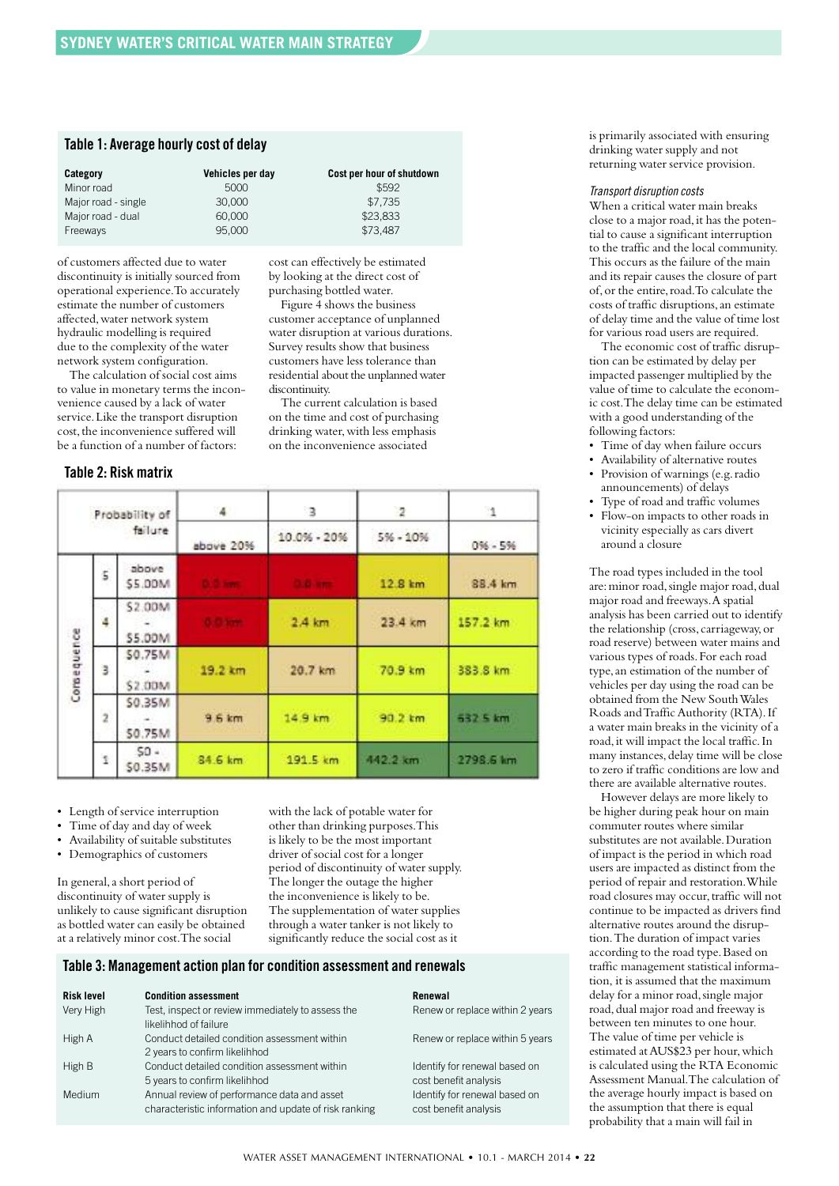## **Table 1: Average hourly cost of delay**

| Category            | Vehicles per day | Cost per hour of shutdown |
|---------------------|------------------|---------------------------|
| Minor road          | 5000             | \$592                     |
| Major road - single | 30,000           | \$7.735                   |
| Major road - dual   | 60,000           | \$23,833                  |
| Freeways            | 95,000           | \$73.487                  |

of customers affected due to water discontinuity is initially sourced from operational experience.To accurately estimate the number of customers affected,water network system hydraulic modelling is required due to the complexity of the water network system configuration.

The calculation of social cost aims to value in monetary terms the inconvenience caused by a lack of water service.Like the transport disruption cost, the inconvenience suffered will be a function of a number of factors:

# **Table 2: Risk matrix**

cost can effectively be estimated by looking at the direct cost of purchasing bottled water.

Figure 4 shows the business customer acceptance of unplanned water disruption at various durations. Survey results show that business customers have less tolerance than residential about the unplanned water discontinuity.

The current calculation is based on the time and cost of purchasing drinking water,with less emphasis on the inconvenience associated

| Probability of<br>failure |                |                          | $\frac{4}{3}$ | 3               | $\overline{2}$ | 11        |
|---------------------------|----------------|--------------------------|---------------|-----------------|----------------|-----------|
|                           |                |                          | above 20%     | 10.0% - 20%     | $5% - 10%$     | $0% - 5%$ |
|                           | 5              | above<br>\$5.00M         | D. C. Lert    | <b>OLD, ATT</b> | 12.8 km        | 88.4 km   |
|                           | 4              | \$2.00M<br>\$5.00M       |               | 2.4 km          | 23.4 km        | 157.2 km  |
| Cornequence               | з              | \$0.75M<br>\$2,00M       | 19.2 km       | 20.7 km         | 70.9 km        | 383.8 km  |
|                           | $\overline{2}$ | \$0.35M<br><b>SO.75M</b> | 9.6 km        | 14.9 km         | 90.2 km        | 532 5 km  |
|                           | ï              | $50 -$<br>\$0.35M        | 84.6 km       | 191.5 km        | 442.2 km       | 2798.6 km |

• Length of service interruption

- Time of day and day of week
- Availability of suitable substitutes
- Demographics of customers

In general,a short period of discontinuity of water supply is unlikely to cause significant disruption as bottled water can easily be obtained at a relatively minor cost.The social

with the lack of potable water for other than drinking purposes.This is likely to be the most important driver of social cost for a longer period of discontinuity of water supply. The longer the outage the higher the inconvenience is likely to be. The supplementation of water supplies through a water tanker is not likely to significantly reduce the social cost as it

#### **Table 3: Management action plan for condition assessment and renewals**

| <b>Risk level</b> | <b>Condition assessment</b>                           | Renewal                         |
|-------------------|-------------------------------------------------------|---------------------------------|
| Very High         | Test, inspect or review immediately to assess the     | Renew or replace within 2 years |
|                   | likelihhod of failure                                 |                                 |
| High A            | Conduct detailed condition assessment within          | Renew or replace within 5 years |
|                   | 2 years to confirm likelihhod                         |                                 |
| High B            | Conduct detailed condition assessment within          | Identify for renewal based on   |
|                   | 5 years to confirm likelihhod                         | cost benefit analysis           |
| Medium            | Annual review of performance data and asset           | Identify for renewal based on   |
|                   | characteristic information and update of risk ranking | cost benefit analysis           |

is primarily associated with ensuring drinking water supply and not returning water service provision.

#### *Transport disruption costs*

When a critical water main breaks close to a major road, it has the potential to cause a significant interruption to the traffic and the local community. This occurs as the failure of the main and its repair causes the closure of part of,or the entire,road.To calculate the costs of traffic disruptions,an estimate of delay time and the value of time lost for various road users are required.

The economic cost of traffic disruption can be estimated by delay per impacted passenger multiplied by the value of time to calculate the economic cost.The delay time can be estimated with a good understanding of the following factors:

- Time of day when failure occurs
- Availability of alternative routes • Provision of warnings (e.g.radio
- announcements) of delays
- Type of road and traffic volumes
- Flow-on impacts to other roads in vicinity especially as cars divert around a closure

The road types included in the tool are: minor road, single major road, dual major road and freeways.A spatial analysis has been carried out to identify the relationship (cross, carriageway,or road reserve) between water mains and various types of roads.For each road type,an estimation of the number of vehicles per day using the road can be obtained from the New SouthWales Roads and Traffic Authority (RTA). If a water main breaks in the vicinity of a road,it will impact the local traffic.In many instances, delay time will be close to zero if traffic conditions are low and there are available alternative routes.

However delays are more likely to be higher during peak hour on main commuter routes where similar substitutes are not available.Duration of impact is the period in which road users are impacted as distinct from the period of repair and restoration.While road closures may occur,traffic will not continue to be impacted as drivers find alternative routes around the disruption.The duration of impact varies according to the road type.Based on traffic management statistical information, it is assumed that the maximum delay for a minor road,single major road, dual major road and freeway is between ten minutes to one hour. The value of time per vehicle is estimated atAUS\$23 per hour,which is calculated using the RTA Economic Assessment Manual.The calculation of the average hourly impact is based on the assumption that there is equal probability that a main will fail in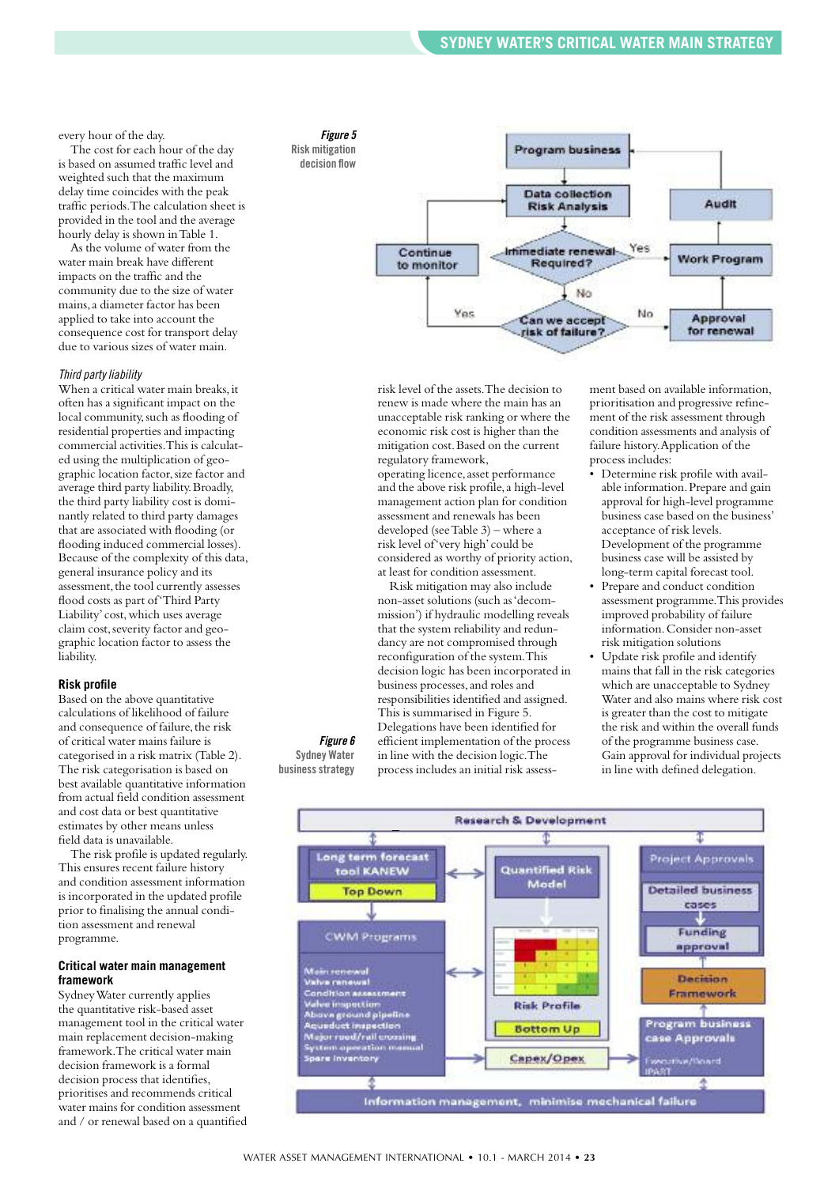every hour of the day.

The cost for each hour of the day is based on assumed traffic level and weighted such that the maximum delay time coincides with the peak traffic periods.The calculation sheet is provided in the tool and the average hourly delay is shown inTable 1.

As the volume of water from the water main break have different impacts on the traffic and the community due to the size of water mains,a diameter factor has been applied to take into account the consequence cost for transport delay due to various sizes of water main.

#### *Third party liability*

When a critical water main breaks, it often has a significant impact on the local community, such as flooding of residential properties and impacting commercial activities.This is calculated using the multiplication of geographic location factor,size factor and average third party liability.Broadly, the third party liability cost is dominantly related to third party damages that are associated with flooding (or flooding induced commercial losses). Because of the complexity of this data, general insurance policy and its assessment, the tool currently assesses flood costs as part of'Third Party Liability' cost,which uses average claim cost,severity factor and geographic location factor to assess the liability.

#### **Risk profile**

Based on the above quantitative calculations of likelihood of failure and consequence of failure, the risk of critical water mains failure is categorised in a risk matrix (Table 2). The risk categorisation is based on best available quantitative information from actual field condition assessment and cost data or best quantitative estimates by other means unless field data is unavailable.

The risk profile is updated regularly. This ensures recent failure history and condition assessment information is incorporated in the updated profile prior to finalising the annual condition assessment and renewal programme.

#### **Critical water main management framework**

SydneyWater currently applies the quantitative risk-based asset management tool in the critical water main replacement decision-making framework.The critical water main decision framework is a formal decision process that identifies, prioritises and recommends critical water mains for condition assessment and / or renewal based on a quantified



risk level of the assets.The decision to renew is made where the main has an unacceptable risk ranking or where the economic risk cost is higher than the mitigation cost.Based on the current regulatory framework,

operating licence, asset performance and the above risk profile,a high-level management action plan for condition assessment and renewals has been developed (seeTable 3) – where a risk level of'very high' could be considered as worthy of priority action, at least for condition assessment.

Risk mitigation may also include non-asset solutions (such as'decommission') if hydraulic modelling reveals that the system reliability and redundancy are not compromised through reconfiguration of the system.This decision logic has been incorporated in business processes,and roles and responsibilities identified and assigned. This is summarised in Figure 5. Delegations have been identified for efficient implementation of the process in line with the decision logic.The process includes an initial risk assessment based on available information, prioritisation and progressive refinement of the risk assessment through condition assessments and analysis of failure history.Application of the process includes:

- Determine risk profile with available information.Prepare and gain approval for high-level programme business case based on the business' acceptance of risk levels. Development of the programme business case will be assisted by long-term capital forecast tool.
- Prepare and conduct condition assessment programme.This provides improved probability of failure information.Consider non-asset risk mitigation solutions
- Update risk profile and identify mains that fall in the risk categories which are unacceptable to Sydney Water and also mains where risk cost is greater than the cost to mitigate the risk and within the overall funds of the programme business case. Gain approval for individual projects in line with defined delegation.



*Figure 6* **Sydney Water businessstrategy**